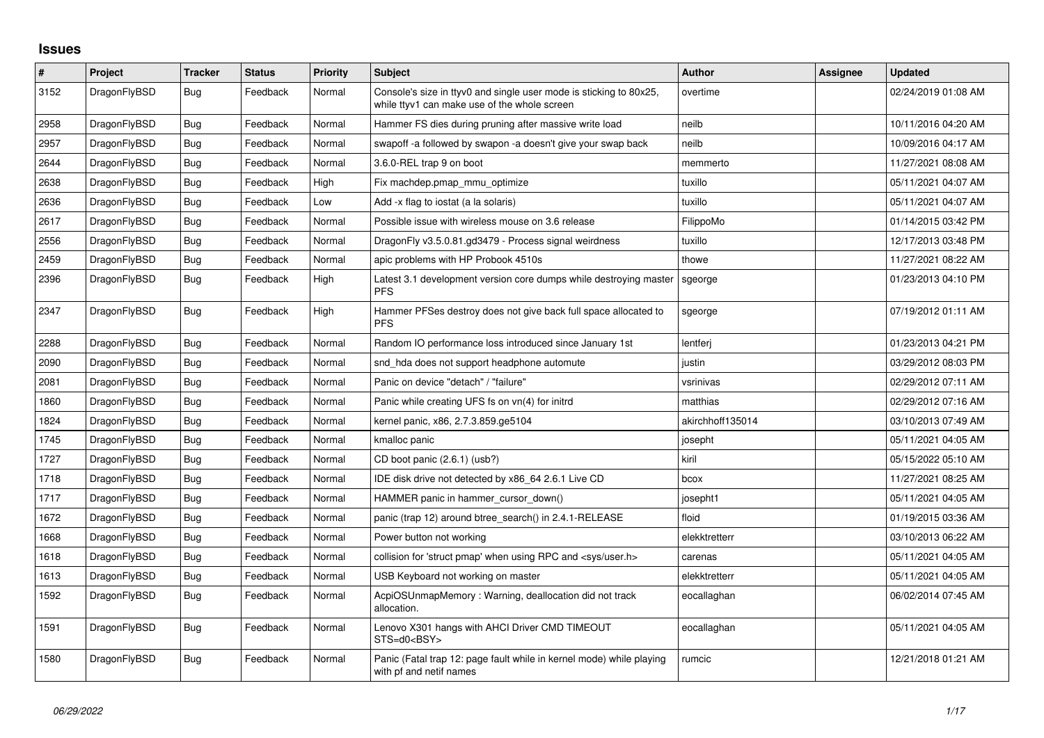## **Issues**

| $\#$ | Project      | <b>Tracker</b> | <b>Status</b> | <b>Priority</b> | <b>Subject</b>                                                                                                     | Author           | Assignee | <b>Updated</b>      |
|------|--------------|----------------|---------------|-----------------|--------------------------------------------------------------------------------------------------------------------|------------------|----------|---------------------|
| 3152 | DragonFlyBSD | <b>Bug</b>     | Feedback      | Normal          | Console's size in ttyv0 and single user mode is sticking to 80x25,<br>while ttyv1 can make use of the whole screen | overtime         |          | 02/24/2019 01:08 AM |
| 2958 | DragonFlyBSD | <b>Bug</b>     | Feedback      | Normal          | Hammer FS dies during pruning after massive write load                                                             | neilb            |          | 10/11/2016 04:20 AM |
| 2957 | DragonFlyBSD | <b>Bug</b>     | Feedback      | Normal          | swapoff -a followed by swapon -a doesn't give your swap back                                                       | neilb            |          | 10/09/2016 04:17 AM |
| 2644 | DragonFlyBSD | Bug            | Feedback      | Normal          | 3.6.0-REL trap 9 on boot                                                                                           | memmerto         |          | 11/27/2021 08:08 AM |
| 2638 | DragonFlyBSD | <b>Bug</b>     | Feedback      | High            | Fix machdep.pmap mmu optimize                                                                                      | tuxillo          |          | 05/11/2021 04:07 AM |
| 2636 | DragonFlyBSD | Bug            | Feedback      | Low             | Add -x flag to iostat (a la solaris)                                                                               | tuxillo          |          | 05/11/2021 04:07 AM |
| 2617 | DragonFlyBSD | <b>Bug</b>     | Feedback      | Normal          | Possible issue with wireless mouse on 3.6 release                                                                  | FilippoMo        |          | 01/14/2015 03:42 PM |
| 2556 | DragonFlyBSD | <b>Bug</b>     | Feedback      | Normal          | DragonFly v3.5.0.81.gd3479 - Process signal weirdness                                                              | tuxillo          |          | 12/17/2013 03:48 PM |
| 2459 | DragonFlyBSD | <b>Bug</b>     | Feedback      | Normal          | apic problems with HP Probook 4510s                                                                                | thowe            |          | 11/27/2021 08:22 AM |
| 2396 | DragonFlyBSD | Bug            | Feedback      | High            | Latest 3.1 development version core dumps while destroying master<br><b>PFS</b>                                    | sgeorge          |          | 01/23/2013 04:10 PM |
| 2347 | DragonFlyBSD | Bug            | Feedback      | High            | Hammer PFSes destroy does not give back full space allocated to<br><b>PFS</b>                                      | sgeorge          |          | 07/19/2012 01:11 AM |
| 2288 | DragonFlyBSD | <b>Bug</b>     | Feedback      | Normal          | Random IO performance loss introduced since January 1st                                                            | lentferi         |          | 01/23/2013 04:21 PM |
| 2090 | DragonFlyBSD | Bug            | Feedback      | Normal          | snd hda does not support headphone automute                                                                        | justin           |          | 03/29/2012 08:03 PM |
| 2081 | DragonFlyBSD | <b>Bug</b>     | Feedback      | Normal          | Panic on device "detach" / "failure"                                                                               | vsrinivas        |          | 02/29/2012 07:11 AM |
| 1860 | DragonFlyBSD | Bug            | Feedback      | Normal          | Panic while creating UFS fs on vn(4) for initrd                                                                    | matthias         |          | 02/29/2012 07:16 AM |
| 1824 | DragonFlyBSD | Bug            | Feedback      | Normal          | kernel panic, x86, 2.7.3.859.ge5104                                                                                | akirchhoff135014 |          | 03/10/2013 07:49 AM |
| 1745 | DragonFlyBSD | <b>Bug</b>     | Feedback      | Normal          | kmalloc panic                                                                                                      | josepht          |          | 05/11/2021 04:05 AM |
| 1727 | DragonFlyBSD | Bug            | Feedback      | Normal          | CD boot panic (2.6.1) (usb?)                                                                                       | kiril            |          | 05/15/2022 05:10 AM |
| 1718 | DragonFlyBSD | Bug            | Feedback      | Normal          | IDE disk drive not detected by x86 64 2.6.1 Live CD                                                                | bcox             |          | 11/27/2021 08:25 AM |
| 1717 | DragonFlyBSD | Bug            | Feedback      | Normal          | HAMMER panic in hammer_cursor_down()                                                                               | josepht1         |          | 05/11/2021 04:05 AM |
| 1672 | DragonFlyBSD | <b>Bug</b>     | Feedback      | Normal          | panic (trap 12) around btree_search() in 2.4.1-RELEASE                                                             | floid            |          | 01/19/2015 03:36 AM |
| 1668 | DragonFlyBSD | Bug            | Feedback      | Normal          | Power button not working                                                                                           | elekktretterr    |          | 03/10/2013 06:22 AM |
| 1618 | DragonFlyBSD | Bug            | Feedback      | Normal          | collision for 'struct pmap' when using RPC and <sys user.h=""></sys>                                               | carenas          |          | 05/11/2021 04:05 AM |
| 1613 | DragonFlyBSD | <b>Bug</b>     | Feedback      | Normal          | USB Keyboard not working on master                                                                                 | elekktretterr    |          | 05/11/2021 04:05 AM |
| 1592 | DragonFlyBSD | <b>Bug</b>     | Feedback      | Normal          | AcpiOSUnmapMemory: Warning, deallocation did not track<br>allocation.                                              | eocallaghan      |          | 06/02/2014 07:45 AM |
| 1591 | DragonFlyBSD | <b>Bug</b>     | Feedback      | Normal          | Lenovo X301 hangs with AHCI Driver CMD TIMEOUT<br>STS=d0 <bsy></bsy>                                               | eocallaghan      |          | 05/11/2021 04:05 AM |
| 1580 | DragonFlyBSD | Bug            | Feedback      | Normal          | Panic (Fatal trap 12: page fault while in kernel mode) while playing<br>with pf and netif names                    | rumcic           |          | 12/21/2018 01:21 AM |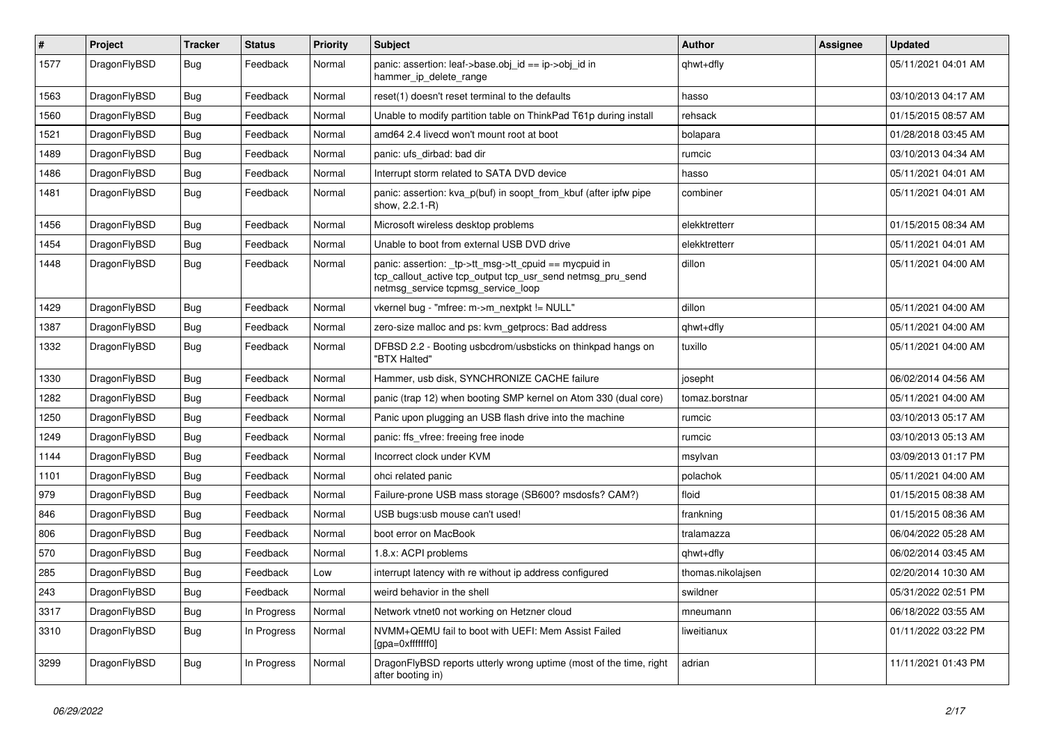| $\#$ | Project      | <b>Tracker</b> | <b>Status</b> | <b>Priority</b> | <b>Subject</b>                                                                                                                                            | <b>Author</b>     | Assignee | <b>Updated</b>      |
|------|--------------|----------------|---------------|-----------------|-----------------------------------------------------------------------------------------------------------------------------------------------------------|-------------------|----------|---------------------|
| 1577 | DragonFlyBSD | <b>Bug</b>     | Feedback      | Normal          | panic: assertion: leaf->base.obj_id == ip->obj_id in<br>hammer_ip_delete_range                                                                            | qhwt+dfly         |          | 05/11/2021 04:01 AM |
| 1563 | DragonFlyBSD | <b>Bug</b>     | Feedback      | Normal          | reset(1) doesn't reset terminal to the defaults                                                                                                           | hasso             |          | 03/10/2013 04:17 AM |
| 1560 | DragonFlyBSD | Bug            | Feedback      | Normal          | Unable to modify partition table on ThinkPad T61p during install                                                                                          | rehsack           |          | 01/15/2015 08:57 AM |
| 1521 | DragonFlyBSD | <b>Bug</b>     | Feedback      | Normal          | amd64 2.4 livecd won't mount root at boot                                                                                                                 | bolapara          |          | 01/28/2018 03:45 AM |
| 1489 | DragonFlyBSD | Bug            | Feedback      | Normal          | panic: ufs dirbad: bad dir                                                                                                                                | rumcic            |          | 03/10/2013 04:34 AM |
| 1486 | DragonFlyBSD | Bug            | Feedback      | Normal          | Interrupt storm related to SATA DVD device                                                                                                                | hasso             |          | 05/11/2021 04:01 AM |
| 1481 | DragonFlyBSD | <b>Bug</b>     | Feedback      | Normal          | panic: assertion: kva_p(buf) in soopt_from_kbuf (after ipfw pipe<br>show, 2.2.1-R)                                                                        | combiner          |          | 05/11/2021 04:01 AM |
| 1456 | DragonFlyBSD | <b>Bug</b>     | Feedback      | Normal          | Microsoft wireless desktop problems                                                                                                                       | elekktretterr     |          | 01/15/2015 08:34 AM |
| 1454 | DragonFlyBSD | <b>Bug</b>     | Feedback      | Normal          | Unable to boot from external USB DVD drive                                                                                                                | elekktretterr     |          | 05/11/2021 04:01 AM |
| 1448 | DragonFlyBSD | <b>Bug</b>     | Feedback      | Normal          | panic: assertion: _tp->tt_msg->tt_cpuid == mycpuid in<br>tcp_callout_active tcp_output tcp_usr_send netmsg_pru_send<br>netmsg_service tcpmsg_service_loop | dillon            |          | 05/11/2021 04:00 AM |
| 1429 | DragonFlyBSD | <b>Bug</b>     | Feedback      | Normal          | vkernel bug - "mfree: m->m_nextpkt != NULL"                                                                                                               | dillon            |          | 05/11/2021 04:00 AM |
| 1387 | DragonFlyBSD | <b>Bug</b>     | Feedback      | Normal          | zero-size malloc and ps: kvm_getprocs: Bad address                                                                                                        | qhwt+dfly         |          | 05/11/2021 04:00 AM |
| 1332 | DragonFlyBSD | <b>Bug</b>     | Feedback      | Normal          | DFBSD 2.2 - Booting usbcdrom/usbsticks on thinkpad hangs on<br>"BTX Halted"                                                                               | tuxillo           |          | 05/11/2021 04:00 AM |
| 1330 | DragonFlyBSD | <b>Bug</b>     | Feedback      | Normal          | Hammer, usb disk, SYNCHRONIZE CACHE failure                                                                                                               | josepht           |          | 06/02/2014 04:56 AM |
| 1282 | DragonFlyBSD | Bug            | Feedback      | Normal          | panic (trap 12) when booting SMP kernel on Atom 330 (dual core)                                                                                           | tomaz.borstnar    |          | 05/11/2021 04:00 AM |
| 1250 | DragonFlyBSD | <b>Bug</b>     | Feedback      | Normal          | Panic upon plugging an USB flash drive into the machine                                                                                                   | rumcic            |          | 03/10/2013 05:17 AM |
| 1249 | DragonFlyBSD | <b>Bug</b>     | Feedback      | Normal          | panic: ffs vfree: freeing free inode                                                                                                                      | rumcic            |          | 03/10/2013 05:13 AM |
| 1144 | DragonFlyBSD | <b>Bug</b>     | Feedback      | Normal          | Incorrect clock under KVM                                                                                                                                 | msylvan           |          | 03/09/2013 01:17 PM |
| 1101 | DragonFlyBSD | Bug            | Feedback      | Normal          | ohci related panic                                                                                                                                        | polachok          |          | 05/11/2021 04:00 AM |
| 979  | DragonFlyBSD | <b>Bug</b>     | Feedback      | Normal          | Failure-prone USB mass storage (SB600? msdosfs? CAM?)                                                                                                     | floid             |          | 01/15/2015 08:38 AM |
| 846  | DragonFlyBSD | <b>Bug</b>     | Feedback      | Normal          | USB bugs:usb mouse can't used!                                                                                                                            | frankning         |          | 01/15/2015 08:36 AM |
| 806  | DragonFlyBSD | Bug            | Feedback      | Normal          | boot error on MacBook                                                                                                                                     | tralamazza        |          | 06/04/2022 05:28 AM |
| 570  | DragonFlyBSD | Bug            | Feedback      | Normal          | 1.8.x: ACPI problems                                                                                                                                      | qhwt+dfly         |          | 06/02/2014 03:45 AM |
| 285  | DragonFlyBSD | Bug            | Feedback      | Low             | interrupt latency with re without ip address configured                                                                                                   | thomas.nikolajsen |          | 02/20/2014 10:30 AM |
| 243  | DragonFlyBSD | <b>Bug</b>     | Feedback      | Normal          | weird behavior in the shell                                                                                                                               | swildner          |          | 05/31/2022 02:51 PM |
| 3317 | DragonFlyBSD | Bug            | In Progress   | Normal          | Network vtnet0 not working on Hetzner cloud                                                                                                               | mneumann          |          | 06/18/2022 03:55 AM |
| 3310 | DragonFlyBSD | <b>Bug</b>     | In Progress   | Normal          | NVMM+QEMU fail to boot with UEFI: Mem Assist Failed<br>[gpa=0xfffffff0]                                                                                   | liweitianux       |          | 01/11/2022 03:22 PM |
| 3299 | DragonFlyBSD | <b>Bug</b>     | In Progress   | Normal          | DragonFlyBSD reports utterly wrong uptime (most of the time, right<br>after booting in)                                                                   | adrian            |          | 11/11/2021 01:43 PM |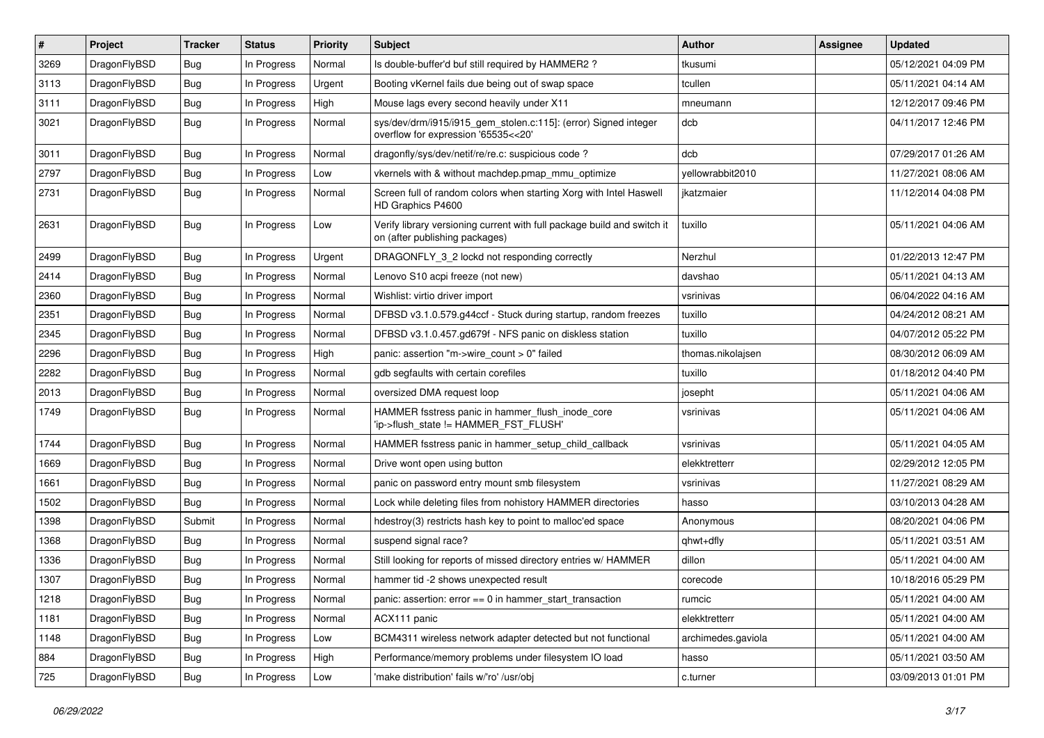| $\vert$ # | Project      | <b>Tracker</b> | <b>Status</b> | <b>Priority</b> | <b>Subject</b>                                                                                            | <b>Author</b>      | Assignee | <b>Updated</b>      |
|-----------|--------------|----------------|---------------|-----------------|-----------------------------------------------------------------------------------------------------------|--------------------|----------|---------------------|
| 3269      | DragonFlyBSD | <b>Bug</b>     | In Progress   | Normal          | Is double-buffer'd buf still required by HAMMER2 ?                                                        | tkusumi            |          | 05/12/2021 04:09 PM |
| 3113      | DragonFlyBSD | <b>Bug</b>     | In Progress   | Urgent          | Booting vKernel fails due being out of swap space                                                         | tcullen            |          | 05/11/2021 04:14 AM |
| 3111      | DragonFlyBSD | <b>Bug</b>     | In Progress   | High            | Mouse lags every second heavily under X11                                                                 | mneumann           |          | 12/12/2017 09:46 PM |
| 3021      | DragonFlyBSD | Bug            | In Progress   | Normal          | sys/dev/drm/i915/i915_gem_stolen.c:115]: (error) Signed integer<br>overflow for expression '65535<<20'    | dcb                |          | 04/11/2017 12:46 PM |
| 3011      | DragonFlyBSD | <b>Bug</b>     | In Progress   | Normal          | dragonfly/sys/dev/netif/re/re.c: suspicious code?                                                         | dcb                |          | 07/29/2017 01:26 AM |
| 2797      | DragonFlyBSD | <b>Bug</b>     | In Progress   | Low             | vkernels with & without machdep.pmap_mmu_optimize                                                         | vellowrabbit2010   |          | 11/27/2021 08:06 AM |
| 2731      | DragonFlyBSD | <b>Bug</b>     | In Progress   | Normal          | Screen full of random colors when starting Xorg with Intel Haswell<br>HD Graphics P4600                   | jkatzmaier         |          | 11/12/2014 04:08 PM |
| 2631      | DragonFlyBSD | Bug            | In Progress   | Low             | Verify library versioning current with full package build and switch it<br>on (after publishing packages) | tuxillo            |          | 05/11/2021 04:06 AM |
| 2499      | DragonFlyBSD | Bug            | In Progress   | Urgent          | DRAGONFLY_3_2 lockd not responding correctly                                                              | Nerzhul            |          | 01/22/2013 12:47 PM |
| 2414      | DragonFlyBSD | Bug            | In Progress   | Normal          | Lenovo S10 acpi freeze (not new)                                                                          | davshao            |          | 05/11/2021 04:13 AM |
| 2360      | DragonFlyBSD | Bug            | In Progress   | Normal          | Wishlist: virtio driver import                                                                            | vsrinivas          |          | 06/04/2022 04:16 AM |
| 2351      | DragonFlyBSD | Bug            | In Progress   | Normal          | DFBSD v3.1.0.579.g44ccf - Stuck during startup, random freezes                                            | tuxillo            |          | 04/24/2012 08:21 AM |
| 2345      | DragonFlyBSD | <b>Bug</b>     | In Progress   | Normal          | DFBSD v3.1.0.457.gd679f - NFS panic on diskless station                                                   | tuxillo            |          | 04/07/2012 05:22 PM |
| 2296      | DragonFlyBSD | <b>Bug</b>     | In Progress   | High            | panic: assertion "m->wire count > 0" failed                                                               | thomas.nikolajsen  |          | 08/30/2012 06:09 AM |
| 2282      | DragonFlyBSD | Bug            | In Progress   | Normal          | gdb segfaults with certain corefiles                                                                      | tuxillo            |          | 01/18/2012 04:40 PM |
| 2013      | DragonFlyBSD | <b>Bug</b>     | In Progress   | Normal          | oversized DMA request loop                                                                                | josepht            |          | 05/11/2021 04:06 AM |
| 1749      | DragonFlyBSD | Bug            | In Progress   | Normal          | HAMMER fsstress panic in hammer_flush_inode_core<br>'ip->flush_state != HAMMER_FST_FLUSH'                 | vsrinivas          |          | 05/11/2021 04:06 AM |
| 1744      | DragonFlyBSD | Bug            | In Progress   | Normal          | HAMMER fsstress panic in hammer setup child callback                                                      | vsrinivas          |          | 05/11/2021 04:05 AM |
| 1669      | DragonFlyBSD | Bug            | In Progress   | Normal          | Drive wont open using button                                                                              | elekktretterr      |          | 02/29/2012 12:05 PM |
| 1661      | DragonFlyBSD | <b>Bug</b>     | In Progress   | Normal          | panic on password entry mount smb filesystem                                                              | vsrinivas          |          | 11/27/2021 08:29 AM |
| 1502      | DragonFlyBSD | Bug            | In Progress   | Normal          | Lock while deleting files from nohistory HAMMER directories                                               | hasso              |          | 03/10/2013 04:28 AM |
| 1398      | DragonFlyBSD | Submit         | In Progress   | Normal          | hdestroy(3) restricts hash key to point to malloc'ed space                                                | Anonymous          |          | 08/20/2021 04:06 PM |
| 1368      | DragonFlyBSD | <b>Bug</b>     | In Progress   | Normal          | suspend signal race?                                                                                      | qhwt+dfly          |          | 05/11/2021 03:51 AM |
| 1336      | DragonFlyBSD | Bug            | In Progress   | Normal          | Still looking for reports of missed directory entries w/ HAMMER                                           | dillon             |          | 05/11/2021 04:00 AM |
| 1307      | DragonFlyBSD | <b>Bug</b>     | In Progress   | Normal          | hammer tid -2 shows unexpected result                                                                     | corecode           |          | 10/18/2016 05:29 PM |
| 1218      | DragonFlyBSD | <b>Bug</b>     | In Progress   | Normal          | panic: assertion: error == 0 in hammer_start_transaction                                                  | rumcic             |          | 05/11/2021 04:00 AM |
| 1181      | DragonFlyBSD | Bug            | In Progress   | Normal          | ACX111 panic                                                                                              | elekktretterr      |          | 05/11/2021 04:00 AM |
| 1148      | DragonFlyBSD | <b>Bug</b>     | In Progress   | Low             | BCM4311 wireless network adapter detected but not functional                                              | archimedes.gaviola |          | 05/11/2021 04:00 AM |
| 884       | DragonFlyBSD | <b>Bug</b>     | In Progress   | High            | Performance/memory problems under filesystem IO load                                                      | hasso              |          | 05/11/2021 03:50 AM |
| 725       | DragonFlyBSD | <b>Bug</b>     | In Progress   | Low             | 'make distribution' fails w/'ro' /usr/obj                                                                 | c.turner           |          | 03/09/2013 01:01 PM |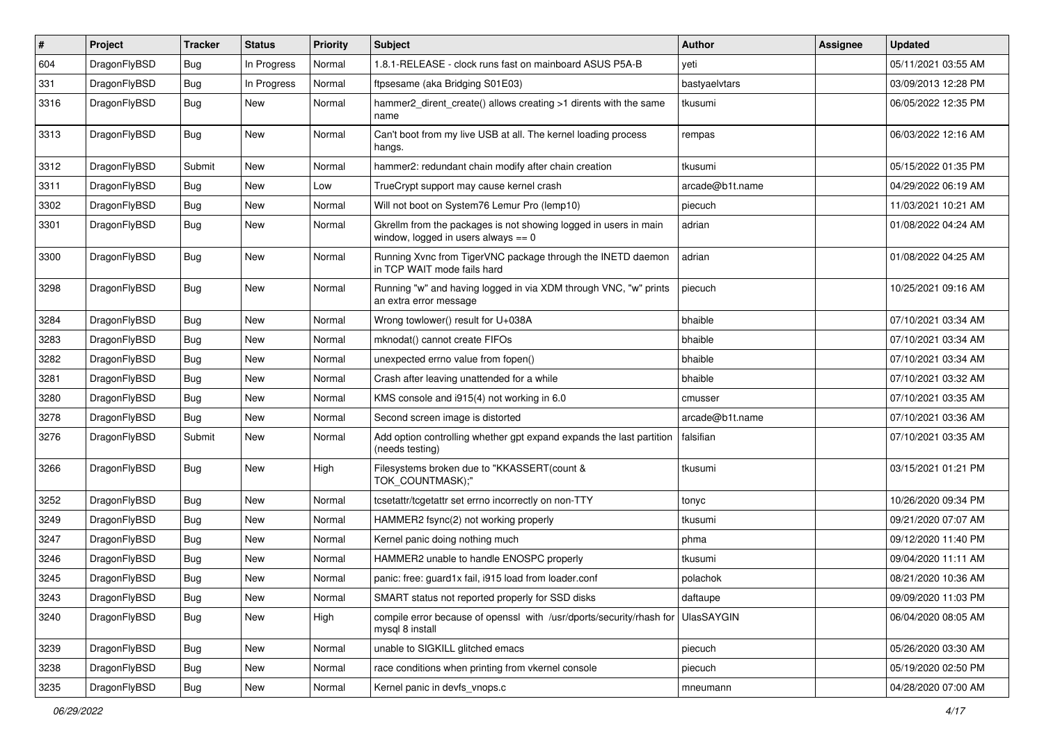| $\pmb{\#}$ | Project      | <b>Tracker</b> | <b>Status</b> | <b>Priority</b> | <b>Subject</b>                                                                                            | Author          | <b>Assignee</b> | <b>Updated</b>      |
|------------|--------------|----------------|---------------|-----------------|-----------------------------------------------------------------------------------------------------------|-----------------|-----------------|---------------------|
| 604        | DragonFlyBSD | Bug            | In Progress   | Normal          | 1.8.1-RELEASE - clock runs fast on mainboard ASUS P5A-B                                                   | yeti            |                 | 05/11/2021 03:55 AM |
| 331        | DragonFlyBSD | Bug            | In Progress   | Normal          | ftpsesame (aka Bridging S01E03)                                                                           | bastyaelvtars   |                 | 03/09/2013 12:28 PM |
| 3316       | DragonFlyBSD | Bug            | New           | Normal          | hammer2_dirent_create() allows creating >1 dirents with the same<br>name                                  | tkusumi         |                 | 06/05/2022 12:35 PM |
| 3313       | DragonFlyBSD | Bug            | New           | Normal          | Can't boot from my live USB at all. The kernel loading process<br>hangs.                                  | rempas          |                 | 06/03/2022 12:16 AM |
| 3312       | DragonFlyBSD | Submit         | New           | Normal          | hammer2: redundant chain modify after chain creation                                                      | tkusumi         |                 | 05/15/2022 01:35 PM |
| 3311       | DragonFlyBSD | Bug            | New           | Low             | TrueCrypt support may cause kernel crash                                                                  | arcade@b1t.name |                 | 04/29/2022 06:19 AM |
| 3302       | DragonFlyBSD | Bug            | <b>New</b>    | Normal          | Will not boot on System76 Lemur Pro (lemp10)                                                              | piecuch         |                 | 11/03/2021 10:21 AM |
| 3301       | DragonFlyBSD | Bug            | <b>New</b>    | Normal          | Gkrellm from the packages is not showing logged in users in main<br>window, logged in users always $== 0$ | adrian          |                 | 01/08/2022 04:24 AM |
| 3300       | DragonFlyBSD | Bug            | New           | Normal          | Running Xvnc from TigerVNC package through the INETD daemon<br>in TCP WAIT mode fails hard                | adrian          |                 | 01/08/2022 04:25 AM |
| 3298       | DragonFlyBSD | Bug            | New           | Normal          | Running "w" and having logged in via XDM through VNC, "w" prints<br>an extra error message                | piecuch         |                 | 10/25/2021 09:16 AM |
| 3284       | DragonFlyBSD | <b>Bug</b>     | <b>New</b>    | Normal          | Wrong towlower() result for U+038A                                                                        | bhaible         |                 | 07/10/2021 03:34 AM |
| 3283       | DragonFlyBSD | Bug            | New           | Normal          | mknodat() cannot create FIFOs                                                                             | bhaible         |                 | 07/10/2021 03:34 AM |
| 3282       | DragonFlyBSD | Bug            | New           | Normal          | unexpected errno value from fopen()                                                                       | bhaible         |                 | 07/10/2021 03:34 AM |
| 3281       | DragonFlyBSD | Bug            | New           | Normal          | Crash after leaving unattended for a while                                                                | bhaible         |                 | 07/10/2021 03:32 AM |
| 3280       | DragonFlyBSD | Bug            | New           | Normal          | KMS console and i915(4) not working in 6.0                                                                | cmusser         |                 | 07/10/2021 03:35 AM |
| 3278       | DragonFlyBSD | <b>Bug</b>     | <b>New</b>    | Normal          | Second screen image is distorted                                                                          | arcade@b1t.name |                 | 07/10/2021 03:36 AM |
| 3276       | DragonFlyBSD | Submit         | New           | Normal          | Add option controlling whether gpt expand expands the last partition<br>(needs testing)                   | falsifian       |                 | 07/10/2021 03:35 AM |
| 3266       | DragonFlyBSD | Bug            | <b>New</b>    | High            | Filesystems broken due to "KKASSERT(count &<br>TOK_COUNTMASK);"                                           | tkusumi         |                 | 03/15/2021 01:21 PM |
| 3252       | DragonFlyBSD | Bug            | <b>New</b>    | Normal          | tcsetattr/tcgetattr set errno incorrectly on non-TTY                                                      | tonyc           |                 | 10/26/2020 09:34 PM |
| 3249       | DragonFlyBSD | Bug            | <b>New</b>    | Normal          | HAMMER2 fsync(2) not working properly                                                                     | tkusumi         |                 | 09/21/2020 07:07 AM |
| 3247       | DragonFlyBSD | <b>Bug</b>     | New           | Normal          | Kernel panic doing nothing much                                                                           | phma            |                 | 09/12/2020 11:40 PM |
| 3246       | DragonFlyBSD | Bug            | <b>New</b>    | Normal          | HAMMER2 unable to handle ENOSPC properly                                                                  | tkusumi         |                 | 09/04/2020 11:11 AM |
| 3245       | DragonFlyBSD | <b>Bug</b>     | New           | Normal          | panic: free: guard1x fail, i915 load from loader.conf                                                     | polachok        |                 | 08/21/2020 10:36 AM |
| 3243       | DragonFlyBSD | Bug            | New           | Normal          | SMART status not reported properly for SSD disks                                                          | daftaupe        |                 | 09/09/2020 11:03 PM |
| 3240       | DragonFlyBSD | Bug            | New           | High            | compile error because of openssl with /usr/dports/security/rhash for<br>mysql 8 install                   | UlasSAYGIN      |                 | 06/04/2020 08:05 AM |
| 3239       | DragonFlyBSD | Bug            | New           | Normal          | unable to SIGKILL glitched emacs                                                                          | piecuch         |                 | 05/26/2020 03:30 AM |
| 3238       | DragonFlyBSD | Bug            | New           | Normal          | race conditions when printing from vkernel console                                                        | piecuch         |                 | 05/19/2020 02:50 PM |
| 3235       | DragonFlyBSD | Bug            | New           | Normal          | Kernel panic in devfs_vnops.c                                                                             | mneumann        |                 | 04/28/2020 07:00 AM |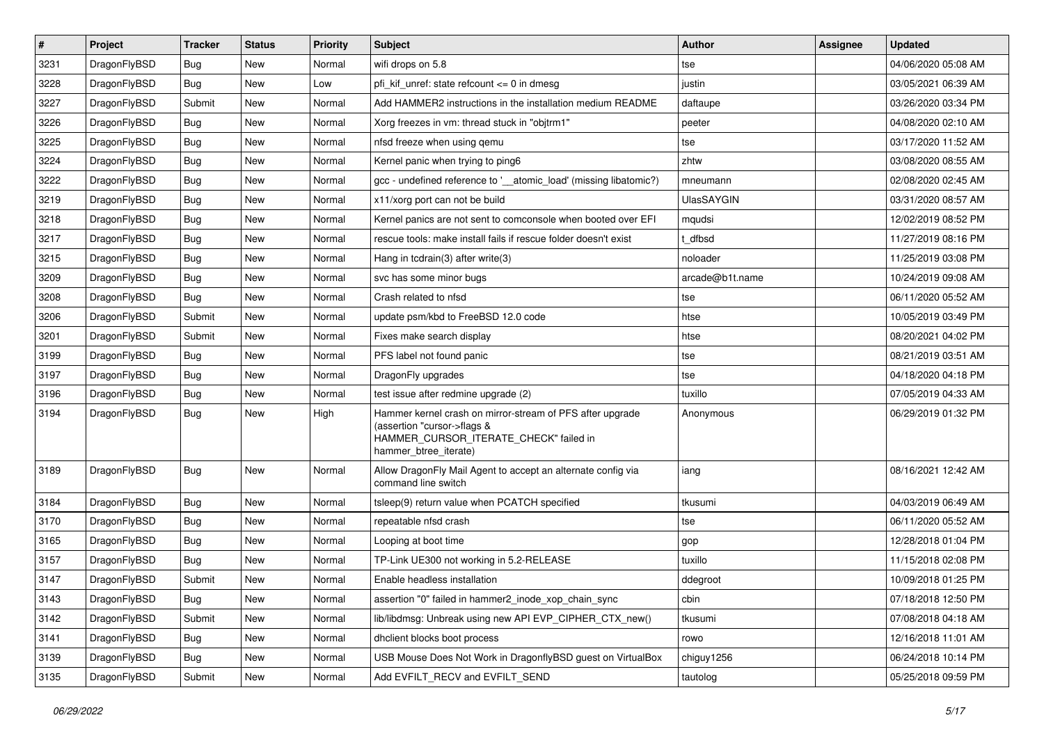| $\pmb{\#}$ | Project      | <b>Tracker</b> | <b>Status</b> | <b>Priority</b> | Subject                                                                                                                                                     | <b>Author</b>     | Assignee | <b>Updated</b>      |
|------------|--------------|----------------|---------------|-----------------|-------------------------------------------------------------------------------------------------------------------------------------------------------------|-------------------|----------|---------------------|
| 3231       | DragonFlyBSD | Bug            | <b>New</b>    | Normal          | wifi drops on 5.8                                                                                                                                           | tse               |          | 04/06/2020 05:08 AM |
| 3228       | DragonFlyBSD | Bug            | <b>New</b>    | Low             | pfi kif unref: state refcount $\leq$ 0 in dmesg                                                                                                             | justin            |          | 03/05/2021 06:39 AM |
| 3227       | DragonFlyBSD | Submit         | <b>New</b>    | Normal          | Add HAMMER2 instructions in the installation medium README                                                                                                  | daftaupe          |          | 03/26/2020 03:34 PM |
| 3226       | DragonFlyBSD | Bug            | <b>New</b>    | Normal          | Xorg freezes in vm: thread stuck in "objtrm1"                                                                                                               | peeter            |          | 04/08/2020 02:10 AM |
| 3225       | DragonFlyBSD | Bug            | <b>New</b>    | Normal          | nfsd freeze when using gemu                                                                                                                                 | tse               |          | 03/17/2020 11:52 AM |
| 3224       | DragonFlyBSD | Bug            | New           | Normal          | Kernel panic when trying to ping6                                                                                                                           | zhtw              |          | 03/08/2020 08:55 AM |
| 3222       | DragonFlyBSD | Bug            | <b>New</b>    | Normal          | gcc - undefined reference to '__atomic_load' (missing libatomic?)                                                                                           | mneumann          |          | 02/08/2020 02:45 AM |
| 3219       | DragonFlyBSD | Bug            | <b>New</b>    | Normal          | x11/xorg port can not be build                                                                                                                              | <b>UlasSAYGIN</b> |          | 03/31/2020 08:57 AM |
| 3218       | DragonFlyBSD | <b>Bug</b>     | <b>New</b>    | Normal          | Kernel panics are not sent to comconsole when booted over EFI                                                                                               | mqudsi            |          | 12/02/2019 08:52 PM |
| 3217       | DragonFlyBSD | Bug            | New           | Normal          | rescue tools: make install fails if rescue folder doesn't exist                                                                                             | t dfbsd           |          | 11/27/2019 08:16 PM |
| 3215       | DragonFlyBSD | Bug            | <b>New</b>    | Normal          | Hang in todrain(3) after write(3)                                                                                                                           | noloader          |          | 11/25/2019 03:08 PM |
| 3209       | DragonFlyBSD | Bug            | <b>New</b>    | Normal          | svc has some minor bugs                                                                                                                                     | arcade@b1t.name   |          | 10/24/2019 09:08 AM |
| 3208       | DragonFlyBSD | Bug            | <b>New</b>    | Normal          | Crash related to nfsd                                                                                                                                       | tse               |          | 06/11/2020 05:52 AM |
| 3206       | DragonFlyBSD | Submit         | <b>New</b>    | Normal          | update psm/kbd to FreeBSD 12.0 code                                                                                                                         | htse              |          | 10/05/2019 03:49 PM |
| 3201       | DragonFlyBSD | Submit         | <b>New</b>    | Normal          | Fixes make search display                                                                                                                                   | htse              |          | 08/20/2021 04:02 PM |
| 3199       | DragonFlyBSD | Bug            | <b>New</b>    | Normal          | PFS label not found panic                                                                                                                                   | tse               |          | 08/21/2019 03:51 AM |
| 3197       | DragonFlyBSD | Bug            | <b>New</b>    | Normal          | DragonFly upgrades                                                                                                                                          | tse               |          | 04/18/2020 04:18 PM |
| 3196       | DragonFlyBSD | Bug            | <b>New</b>    | Normal          | test issue after redmine upgrade (2)                                                                                                                        | tuxillo           |          | 07/05/2019 04:33 AM |
| 3194       | DragonFlyBSD | Bug            | New           | High            | Hammer kernel crash on mirror-stream of PFS after upgrade<br>(assertion "cursor->flags &<br>HAMMER_CURSOR_ITERATE_CHECK" failed in<br>hammer_btree_iterate) | Anonymous         |          | 06/29/2019 01:32 PM |
| 3189       | DragonFlyBSD | Bug            | <b>New</b>    | Normal          | Allow DragonFly Mail Agent to accept an alternate config via<br>command line switch                                                                         | iang              |          | 08/16/2021 12:42 AM |
| 3184       | DragonFlyBSD | Bug            | <b>New</b>    | Normal          | tsleep(9) return value when PCATCH specified                                                                                                                | tkusumi           |          | 04/03/2019 06:49 AM |
| 3170       | DragonFlyBSD | Bug            | New           | Normal          | repeatable nfsd crash                                                                                                                                       | tse               |          | 06/11/2020 05:52 AM |
| 3165       | DragonFlyBSD | Bug            | <b>New</b>    | Normal          | Looping at boot time                                                                                                                                        | gop               |          | 12/28/2018 01:04 PM |
| 3157       | DragonFlyBSD | Bug            | New           | Normal          | TP-Link UE300 not working in 5.2-RELEASE                                                                                                                    | tuxillo           |          | 11/15/2018 02:08 PM |
| 3147       | DragonFlyBSD | Submit         | New           | Normal          | Enable headless installation                                                                                                                                | ddegroot          |          | 10/09/2018 01:25 PM |
| 3143       | DragonFlyBSD | <b>Bug</b>     | New           | Normal          | assertion "0" failed in hammer2_inode_xop_chain_sync                                                                                                        | cbin              |          | 07/18/2018 12:50 PM |
| 3142       | DragonFlyBSD | Submit         | New           | Normal          | lib/libdmsg: Unbreak using new API EVP_CIPHER_CTX_new()                                                                                                     | tkusumi           |          | 07/08/2018 04:18 AM |
| 3141       | DragonFlyBSD | <b>Bug</b>     | New           | Normal          | dhclient blocks boot process                                                                                                                                | rowo              |          | 12/16/2018 11:01 AM |
| 3139       | DragonFlyBSD | <b>Bug</b>     | New           | Normal          | USB Mouse Does Not Work in DragonflyBSD guest on VirtualBox                                                                                                 | chiguy1256        |          | 06/24/2018 10:14 PM |
| 3135       | DragonFlyBSD | Submit         | New           | Normal          | Add EVFILT_RECV and EVFILT_SEND                                                                                                                             | tautolog          |          | 05/25/2018 09:59 PM |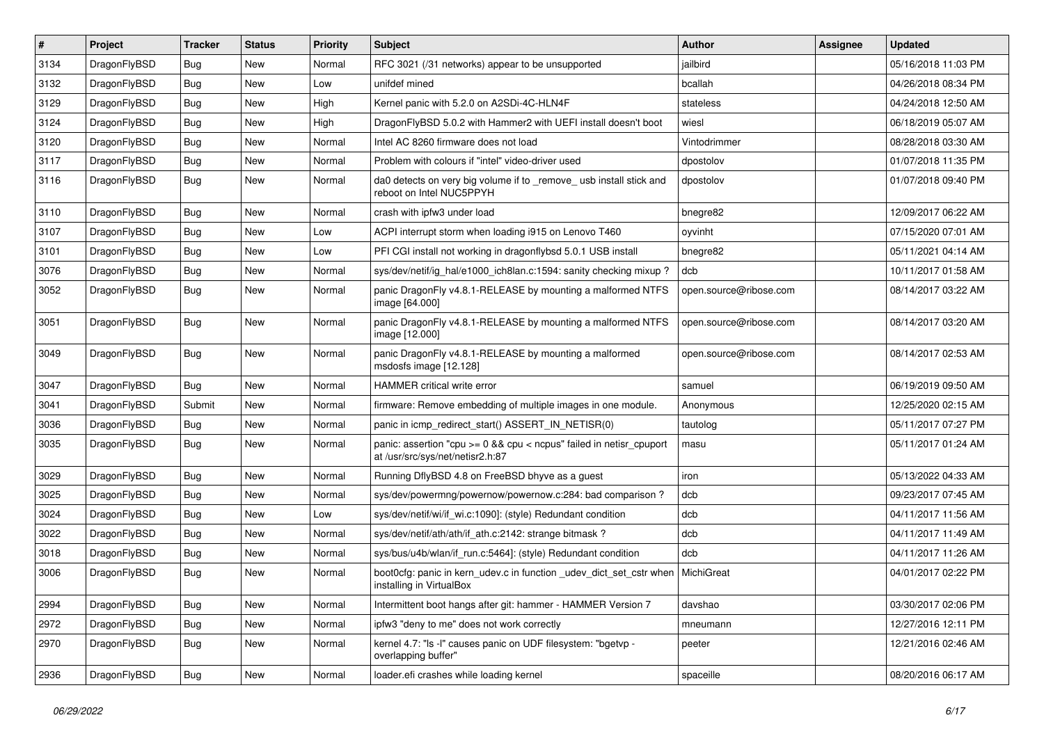| $\vert$ # | Project      | <b>Tracker</b> | <b>Status</b> | <b>Priority</b> | <b>Subject</b>                                                                                          | <b>Author</b>          | Assignee | <b>Updated</b>      |
|-----------|--------------|----------------|---------------|-----------------|---------------------------------------------------------------------------------------------------------|------------------------|----------|---------------------|
| 3134      | DragonFlyBSD | <b>Bug</b>     | New           | Normal          | RFC 3021 (/31 networks) appear to be unsupported                                                        | jailbird               |          | 05/16/2018 11:03 PM |
| 3132      | DragonFlyBSD | Bug            | New           | Low             | unifdef mined                                                                                           | bcallah                |          | 04/26/2018 08:34 PM |
| 3129      | DragonFlyBSD | Bug            | New           | High            | Kernel panic with 5.2.0 on A2SDi-4C-HLN4F                                                               | stateless              |          | 04/24/2018 12:50 AM |
| 3124      | DragonFlyBSD | Bug            | New           | High            | DragonFlyBSD 5.0.2 with Hammer2 with UEFI install doesn't boot                                          | wiesl                  |          | 06/18/2019 05:07 AM |
| 3120      | DragonFlyBSD | Bug            | <b>New</b>    | Normal          | Intel AC 8260 firmware does not load                                                                    | Vintodrimmer           |          | 08/28/2018 03:30 AM |
| 3117      | DragonFlyBSD | Bug            | <b>New</b>    | Normal          | Problem with colours if "intel" video-driver used                                                       | dpostolov              |          | 01/07/2018 11:35 PM |
| 3116      | DragonFlyBSD | Bug            | New           | Normal          | da0 detects on very big volume if to _remove_ usb install stick and<br>reboot on Intel NUC5PPYH         | dpostolov              |          | 01/07/2018 09:40 PM |
| 3110      | DragonFlyBSD | Bug            | <b>New</b>    | Normal          | crash with ipfw3 under load                                                                             | bnegre82               |          | 12/09/2017 06:22 AM |
| 3107      | DragonFlyBSD | Bug            | <b>New</b>    | Low             | ACPI interrupt storm when loading i915 on Lenovo T460                                                   | oyvinht                |          | 07/15/2020 07:01 AM |
| 3101      | DragonFlyBSD | Bug            | New           | Low             | PFI CGI install not working in dragonflybsd 5.0.1 USB install                                           | bnegre82               |          | 05/11/2021 04:14 AM |
| 3076      | DragonFlyBSD | Bug            | New           | Normal          | sys/dev/netif/ig_hal/e1000_ich8lan.c:1594: sanity checking mixup?                                       | dcb                    |          | 10/11/2017 01:58 AM |
| 3052      | DragonFlyBSD | Bug            | <b>New</b>    | Normal          | panic DragonFly v4.8.1-RELEASE by mounting a malformed NTFS<br>image [64.000]                           | open.source@ribose.com |          | 08/14/2017 03:22 AM |
| 3051      | DragonFlyBSD | <b>Bug</b>     | New           | Normal          | panic DragonFly v4.8.1-RELEASE by mounting a malformed NTFS<br>image [12.000]                           | open.source@ribose.com |          | 08/14/2017 03:20 AM |
| 3049      | DragonFlyBSD | <b>Bug</b>     | New           | Normal          | panic DragonFly v4.8.1-RELEASE by mounting a malformed<br>msdosfs image [12.128]                        | open.source@ribose.com |          | 08/14/2017 02:53 AM |
| 3047      | DragonFlyBSD | <b>Bug</b>     | <b>New</b>    | Normal          | HAMMER critical write error                                                                             | samuel                 |          | 06/19/2019 09:50 AM |
| 3041      | DragonFlyBSD | Submit         | New           | Normal          | firmware: Remove embedding of multiple images in one module.                                            | Anonymous              |          | 12/25/2020 02:15 AM |
| 3036      | DragonFlyBSD | <b>Bug</b>     | <b>New</b>    | Normal          | panic in icmp_redirect_start() ASSERT_IN_NETISR(0)                                                      | tautolog               |          | 05/11/2017 07:27 PM |
| 3035      | DragonFlyBSD | <b>Bug</b>     | New           | Normal          | panic: assertion "cpu >= 0 && cpu < ncpus" failed in netisr_cpuport<br>at /usr/src/sys/net/netisr2.h:87 | masu                   |          | 05/11/2017 01:24 AM |
| 3029      | DragonFlyBSD | <b>Bug</b>     | New           | Normal          | Running DflyBSD 4.8 on FreeBSD bhyve as a guest                                                         | iron                   |          | 05/13/2022 04:33 AM |
| 3025      | DragonFlyBSD | <b>Bug</b>     | New           | Normal          | sys/dev/powermng/powernow/powernow.c:284: bad comparison?                                               | dcb                    |          | 09/23/2017 07:45 AM |
| 3024      | DragonFlyBSD | <b>Bug</b>     | <b>New</b>    | Low             | sys/dev/netif/wi/if_wi.c:1090]: (style) Redundant condition                                             | dcb                    |          | 04/11/2017 11:56 AM |
| 3022      | DragonFlyBSD | <b>Bug</b>     | New           | Normal          | sys/dev/netif/ath/ath/if_ath.c:2142: strange bitmask?                                                   | dcb                    |          | 04/11/2017 11:49 AM |
| 3018      | DragonFlyBSD | <b>Bug</b>     | New           | Normal          | sys/bus/u4b/wlan/if_run.c:5464]: (style) Redundant condition                                            | dcb                    |          | 04/11/2017 11:26 AM |
| 3006      | DragonFlyBSD | <b>Bug</b>     | New           | Normal          | boot0cfg: panic in kern_udev.c in function _udev_dict_set_cstr when<br>installing in VirtualBox         | MichiGreat             |          | 04/01/2017 02:22 PM |
| 2994      | DragonFlyBSD | <b>Bug</b>     | New           | Normal          | Intermittent boot hangs after git: hammer - HAMMER Version 7                                            | davshao                |          | 03/30/2017 02:06 PM |
| 2972      | DragonFlyBSD | Bug            | New           | Normal          | ipfw3 "deny to me" does not work correctly                                                              | mneumann               |          | 12/27/2016 12:11 PM |
| 2970      | DragonFlyBSD | Bug            | New           | Normal          | kernel 4.7: "Is -I" causes panic on UDF filesystem: "bgetvp -<br>overlapping buffer"                    | peeter                 |          | 12/21/2016 02:46 AM |
| 2936      | DragonFlyBSD | <b>Bug</b>     | New           | Normal          | loader.efi crashes while loading kernel                                                                 | spaceille              |          | 08/20/2016 06:17 AM |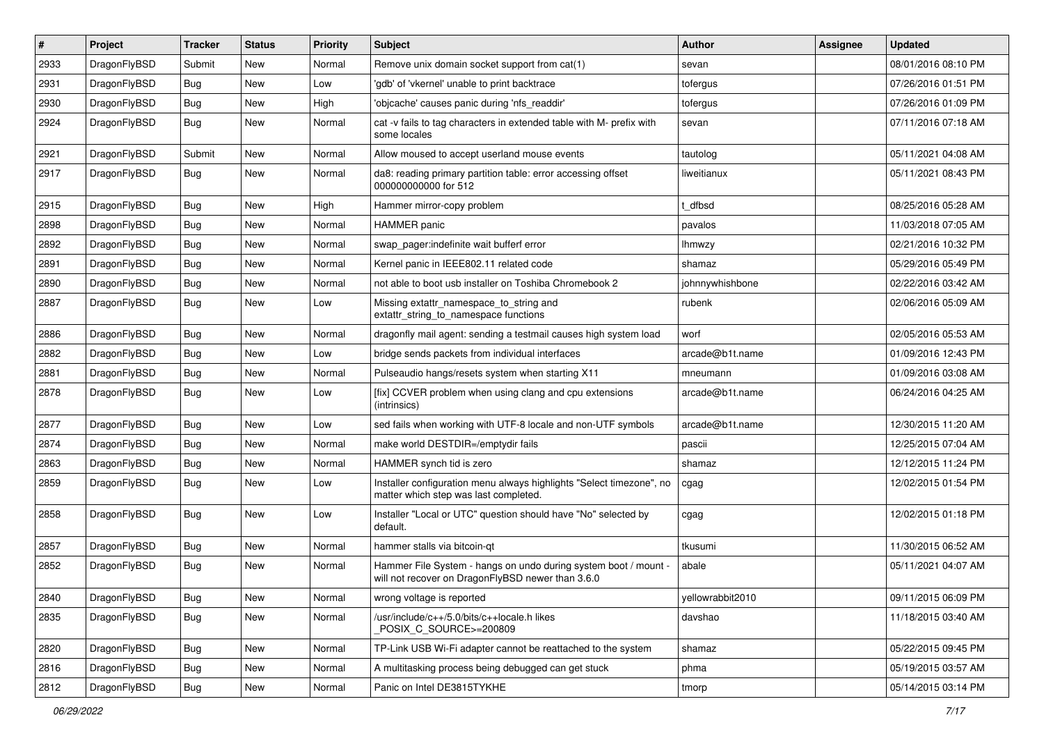| $\vert$ # | Project      | <b>Tracker</b> | <b>Status</b> | <b>Priority</b> | <b>Subject</b>                                                                                                       | <b>Author</b>    | <b>Assignee</b> | <b>Updated</b>      |
|-----------|--------------|----------------|---------------|-----------------|----------------------------------------------------------------------------------------------------------------------|------------------|-----------------|---------------------|
| 2933      | DragonFlyBSD | Submit         | <b>New</b>    | Normal          | Remove unix domain socket support from cat(1)                                                                        | sevan            |                 | 08/01/2016 08:10 PM |
| 2931      | DragonFlyBSD | Bug            | <b>New</b>    | Low             | 'gdb' of 'vkernel' unable to print backtrace                                                                         | tofergus         |                 | 07/26/2016 01:51 PM |
| 2930      | DragonFlyBSD | <b>Bug</b>     | <b>New</b>    | High            | 'objcache' causes panic during 'nfs_readdir'                                                                         | tofergus         |                 | 07/26/2016 01:09 PM |
| 2924      | DragonFlyBSD | Bug            | New           | Normal          | cat -v fails to tag characters in extended table with M- prefix with<br>some locales                                 | sevan            |                 | 07/11/2016 07:18 AM |
| 2921      | DragonFlyBSD | Submit         | <b>New</b>    | Normal          | Allow moused to accept userland mouse events                                                                         | tautolog         |                 | 05/11/2021 04:08 AM |
| 2917      | DragonFlyBSD | Bug            | <b>New</b>    | Normal          | da8: reading primary partition table: error accessing offset<br>000000000000 for 512                                 | liweitianux      |                 | 05/11/2021 08:43 PM |
| 2915      | DragonFlyBSD | <b>Bug</b>     | <b>New</b>    | High            | Hammer mirror-copy problem                                                                                           | dfbsd            |                 | 08/25/2016 05:28 AM |
| 2898      | DragonFlyBSD | Bug            | <b>New</b>    | Normal          | <b>HAMMER</b> panic                                                                                                  | pavalos          |                 | 11/03/2018 07:05 AM |
| 2892      | DragonFlyBSD | <b>Bug</b>     | <b>New</b>    | Normal          | swap_pager:indefinite wait bufferf error                                                                             | lhmwzy           |                 | 02/21/2016 10:32 PM |
| 2891      | DragonFlyBSD | Bug            | <b>New</b>    | Normal          | Kernel panic in IEEE802.11 related code                                                                              | shamaz           |                 | 05/29/2016 05:49 PM |
| 2890      | DragonFlyBSD | <b>Bug</b>     | <b>New</b>    | Normal          | not able to boot usb installer on Toshiba Chromebook 2                                                               | johnnywhishbone  |                 | 02/22/2016 03:42 AM |
| 2887      | DragonFlyBSD | Bug            | New           | Low             | Missing extattr_namespace_to_string and<br>extattr_string_to_namespace functions                                     | rubenk           |                 | 02/06/2016 05:09 AM |
| 2886      | DragonFlyBSD | <b>Bug</b>     | <b>New</b>    | Normal          | dragonfly mail agent: sending a testmail causes high system load                                                     | worf             |                 | 02/05/2016 05:53 AM |
| 2882      | DragonFlyBSD | <b>Bug</b>     | <b>New</b>    | Low             | bridge sends packets from individual interfaces                                                                      | arcade@b1t.name  |                 | 01/09/2016 12:43 PM |
| 2881      | DragonFlyBSD | Bug            | <b>New</b>    | Normal          | Pulseaudio hangs/resets system when starting X11                                                                     | mneumann         |                 | 01/09/2016 03:08 AM |
| 2878      | DragonFlyBSD | Bug            | <b>New</b>    | Low             | [fix] CCVER problem when using clang and cpu extensions<br>(intrinsics)                                              | arcade@b1t.name  |                 | 06/24/2016 04:25 AM |
| 2877      | DragonFlyBSD | <b>Bug</b>     | <b>New</b>    | Low             | sed fails when working with UTF-8 locale and non-UTF symbols                                                         | arcade@b1t.name  |                 | 12/30/2015 11:20 AM |
| 2874      | DragonFlyBSD | <b>Bug</b>     | <b>New</b>    | Normal          | make world DESTDIR=/emptydir fails                                                                                   | pascii           |                 | 12/25/2015 07:04 AM |
| 2863      | DragonFlyBSD | Bug            | <b>New</b>    | Normal          | HAMMER synch tid is zero                                                                                             | shamaz           |                 | 12/12/2015 11:24 PM |
| 2859      | DragonFlyBSD | Bug            | New           | Low             | Installer configuration menu always highlights "Select timezone", no<br>matter which step was last completed.        | cgag             |                 | 12/02/2015 01:54 PM |
| 2858      | DragonFlyBSD | Bug            | <b>New</b>    | Low             | Installer "Local or UTC" question should have "No" selected by<br>default.                                           | cgag             |                 | 12/02/2015 01:18 PM |
| 2857      | DragonFlyBSD | Bug            | <b>New</b>    | Normal          | hammer stalls via bitcoin-gt                                                                                         | tkusumi          |                 | 11/30/2015 06:52 AM |
| 2852      | DragonFlyBSD | <b>Bug</b>     | <b>New</b>    | Normal          | Hammer File System - hangs on undo during system boot / mount -<br>will not recover on DragonFlyBSD newer than 3.6.0 | abale            |                 | 05/11/2021 04:07 AM |
| 2840      | DragonFlyBSD | <b>Bug</b>     | New           | Normal          | wrong voltage is reported                                                                                            | yellowrabbit2010 |                 | 09/11/2015 06:09 PM |
| 2835      | DragonFlyBSD | <b>Bug</b>     | New           | Normal          | /usr/include/c++/5.0/bits/c++locale.h likes<br>POSIX_C_SOURCE>=200809                                                | davshao          |                 | 11/18/2015 03:40 AM |
| 2820      | DragonFlyBSD | <b>Bug</b>     | New           | Normal          | TP-Link USB Wi-Fi adapter cannot be reattached to the system                                                         | shamaz           |                 | 05/22/2015 09:45 PM |
| 2816      | DragonFlyBSD | <b>Bug</b>     | New           | Normal          | A multitasking process being debugged can get stuck                                                                  | phma             |                 | 05/19/2015 03:57 AM |
| 2812      | DragonFlyBSD | Bug            | New           | Normal          | Panic on Intel DE3815TYKHE                                                                                           | tmorp            |                 | 05/14/2015 03:14 PM |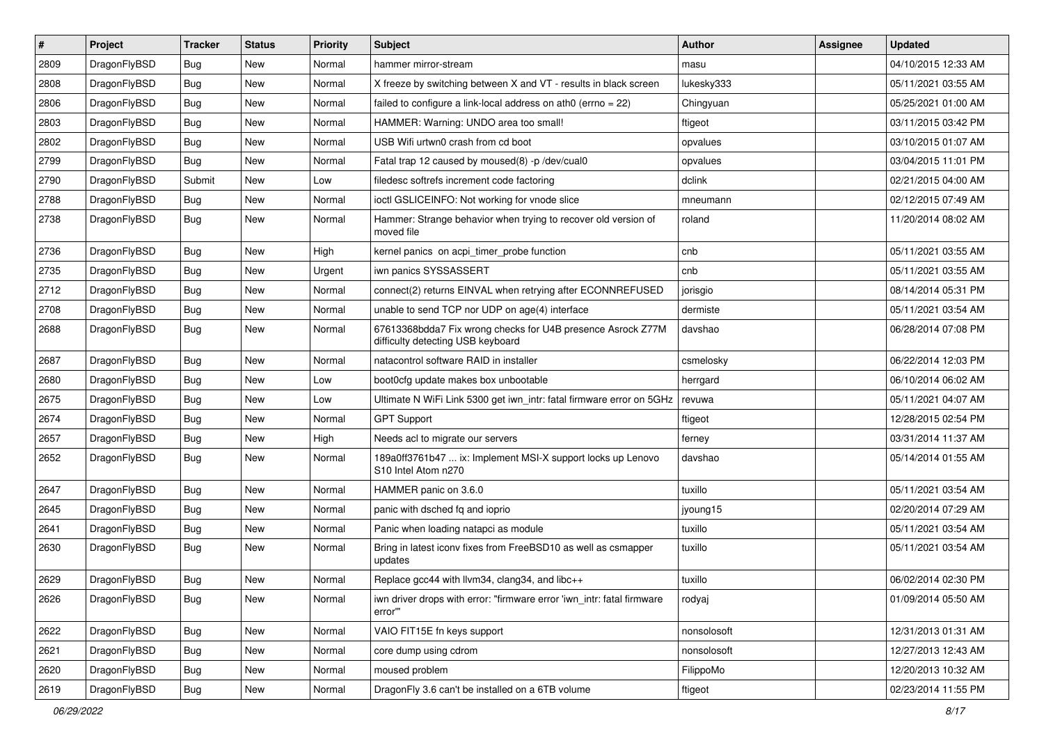| $\sharp$ | Project      | <b>Tracker</b> | <b>Status</b> | <b>Priority</b> | <b>Subject</b>                                                                                   | <b>Author</b> | Assignee | <b>Updated</b>      |
|----------|--------------|----------------|---------------|-----------------|--------------------------------------------------------------------------------------------------|---------------|----------|---------------------|
| 2809     | DragonFlyBSD | <b>Bug</b>     | New           | Normal          | hammer mirror-stream                                                                             | masu          |          | 04/10/2015 12:33 AM |
| 2808     | DragonFlyBSD | <b>Bug</b>     | <b>New</b>    | Normal          | X freeze by switching between X and VT - results in black screen                                 | lukesky333    |          | 05/11/2021 03:55 AM |
| 2806     | DragonFlyBSD | <b>Bug</b>     | <b>New</b>    | Normal          | failed to configure a link-local address on ath0 (errno = 22)                                    | Chingyuan     |          | 05/25/2021 01:00 AM |
| 2803     | DragonFlyBSD | <b>Bug</b>     | <b>New</b>    | Normal          | HAMMER: Warning: UNDO area too small!                                                            | ftigeot       |          | 03/11/2015 03:42 PM |
| 2802     | DragonFlyBSD | <b>Bug</b>     | <b>New</b>    | Normal          | USB Wifi urtwn0 crash from cd boot                                                               | opvalues      |          | 03/10/2015 01:07 AM |
| 2799     | DragonFlyBSD | <b>Bug</b>     | <b>New</b>    | Normal          | Fatal trap 12 caused by moused(8) -p/dev/cual0                                                   | opvalues      |          | 03/04/2015 11:01 PM |
| 2790     | DragonFlyBSD | Submit         | New           | Low             | filedesc softrefs increment code factoring                                                       | dclink        |          | 02/21/2015 04:00 AM |
| 2788     | DragonFlyBSD | Bug            | New           | Normal          | ioctl GSLICEINFO: Not working for vnode slice                                                    | mneumann      |          | 02/12/2015 07:49 AM |
| 2738     | DragonFlyBSD | <b>Bug</b>     | New           | Normal          | Hammer: Strange behavior when trying to recover old version of<br>moved file                     | roland        |          | 11/20/2014 08:02 AM |
| 2736     | DragonFlyBSD | <b>Bug</b>     | <b>New</b>    | High            | kernel panics on acpi_timer_probe function                                                       | cnb           |          | 05/11/2021 03:55 AM |
| 2735     | DragonFlyBSD | <b>Bug</b>     | New           | Urgent          | iwn panics SYSSASSERT                                                                            | cnb           |          | 05/11/2021 03:55 AM |
| 2712     | DragonFlyBSD | <b>Bug</b>     | <b>New</b>    | Normal          | connect(2) returns EINVAL when retrying after ECONNREFUSED                                       | jorisgio      |          | 08/14/2014 05:31 PM |
| 2708     | DragonFlyBSD | <b>Bug</b>     | <b>New</b>    | Normal          | unable to send TCP nor UDP on age(4) interface                                                   | dermiste      |          | 05/11/2021 03:54 AM |
| 2688     | DragonFlyBSD | <b>Bug</b>     | New           | Normal          | 67613368bdda7 Fix wrong checks for U4B presence Asrock Z77M<br>difficulty detecting USB keyboard | davshao       |          | 06/28/2014 07:08 PM |
| 2687     | DragonFlyBSD | <b>Bug</b>     | New           | Normal          | natacontrol software RAID in installer                                                           | csmelosky     |          | 06/22/2014 12:03 PM |
| 2680     | DragonFlyBSD | <b>Bug</b>     | <b>New</b>    | Low             | boot0cfg update makes box unbootable                                                             | herrgard      |          | 06/10/2014 06:02 AM |
| 2675     | DragonFlyBSD | <b>Bug</b>     | <b>New</b>    | Low             | Ultimate N WiFi Link 5300 get iwn_intr: fatal firmware error on 5GHz                             | revuwa        |          | 05/11/2021 04:07 AM |
| 2674     | DragonFlyBSD | <b>Bug</b>     | New           | Normal          | <b>GPT Support</b>                                                                               | ftigeot       |          | 12/28/2015 02:54 PM |
| 2657     | DragonFlyBSD | <b>Bug</b>     | <b>New</b>    | High            | Needs acl to migrate our servers                                                                 | ferney        |          | 03/31/2014 11:37 AM |
| 2652     | DragonFlyBSD | <b>Bug</b>     | <b>New</b>    | Normal          | 189a0ff3761b47  ix: Implement MSI-X support locks up Lenovo<br>S10 Intel Atom n270               | davshao       |          | 05/14/2014 01:55 AM |
| 2647     | DragonFlyBSD | <b>Bug</b>     | <b>New</b>    | Normal          | HAMMER panic on 3.6.0                                                                            | tuxillo       |          | 05/11/2021 03:54 AM |
| 2645     | DragonFlyBSD | <b>Bug</b>     | New           | Normal          | panic with dsched fq and ioprio                                                                  | jyoung15      |          | 02/20/2014 07:29 AM |
| 2641     | DragonFlyBSD | <b>Bug</b>     | <b>New</b>    | Normal          | Panic when loading natapci as module                                                             | tuxillo       |          | 05/11/2021 03:54 AM |
| 2630     | DragonFlyBSD | <b>Bug</b>     | New           | Normal          | Bring in latest iconv fixes from FreeBSD10 as well as csmapper<br>updates                        | tuxillo       |          | 05/11/2021 03:54 AM |
| 2629     | DragonFlyBSD | <b>Bug</b>     | New           | Normal          | Replace gcc44 with llvm34, clang34, and libc++                                                   | tuxillo       |          | 06/02/2014 02:30 PM |
| 2626     | DragonFlyBSD | <b>Bug</b>     | New           | Normal          | iwn driver drops with error: "firmware error 'iwn_intr: fatal firmware<br>error"                 | rodyaj        |          | 01/09/2014 05:50 AM |
| 2622     | DragonFlyBSD | <b>Bug</b>     | New           | Normal          | VAIO FIT15E fn keys support                                                                      | nonsolosoft   |          | 12/31/2013 01:31 AM |
| 2621     | DragonFlyBSD | <b>Bug</b>     | <b>New</b>    | Normal          | core dump using cdrom                                                                            | nonsolosoft   |          | 12/27/2013 12:43 AM |
| 2620     | DragonFlyBSD | <b>Bug</b>     | New           | Normal          | moused problem                                                                                   | FilippoMo     |          | 12/20/2013 10:32 AM |
| 2619     | DragonFlyBSD | <b>Bug</b>     | New           | Normal          | DragonFly 3.6 can't be installed on a 6TB volume                                                 | ftigeot       |          | 02/23/2014 11:55 PM |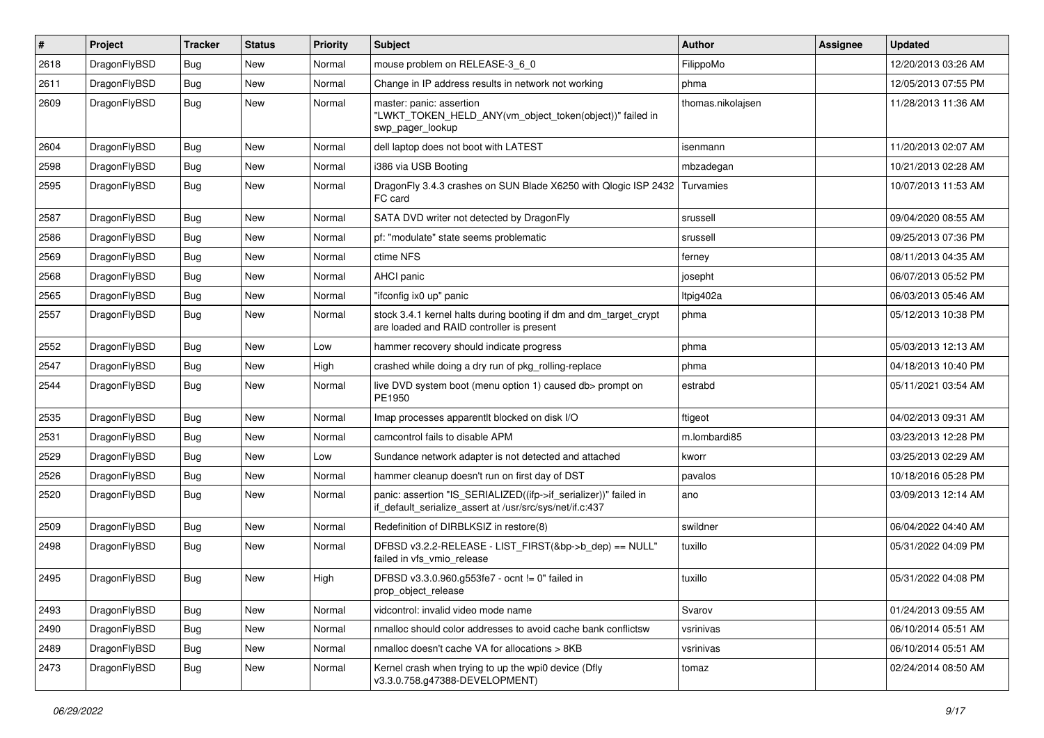| $\vert$ # | Project      | <b>Tracker</b> | <b>Status</b> | <b>Priority</b> | Subject                                                                                                                      | Author            | Assignee | <b>Updated</b>      |
|-----------|--------------|----------------|---------------|-----------------|------------------------------------------------------------------------------------------------------------------------------|-------------------|----------|---------------------|
| 2618      | DragonFlyBSD | Bug            | <b>New</b>    | Normal          | mouse problem on RELEASE-3_6_0                                                                                               | FilippoMo         |          | 12/20/2013 03:26 AM |
| 2611      | DragonFlyBSD | <b>Bug</b>     | <b>New</b>    | Normal          | Change in IP address results in network not working                                                                          | phma              |          | 12/05/2013 07:55 PM |
| 2609      | DragonFlyBSD | Bug            | New           | Normal          | master: panic: assertion<br>"LWKT TOKEN HELD ANY(vm object token(object))" failed in<br>swp_pager_lookup                     | thomas.nikolajsen |          | 11/28/2013 11:36 AM |
| 2604      | DragonFlyBSD | Bug            | <b>New</b>    | Normal          | dell laptop does not boot with LATEST                                                                                        | isenmann          |          | 11/20/2013 02:07 AM |
| 2598      | DragonFlyBSD | Bug            | <b>New</b>    | Normal          | i386 via USB Booting                                                                                                         | mbzadegan         |          | 10/21/2013 02:28 AM |
| 2595      | DragonFlyBSD | Bug            | New           | Normal          | DragonFly 3.4.3 crashes on SUN Blade X6250 with Qlogic ISP 2432<br>FC card                                                   | Turvamies         |          | 10/07/2013 11:53 AM |
| 2587      | DragonFlyBSD | Bug            | <b>New</b>    | Normal          | SATA DVD writer not detected by DragonFly                                                                                    | srussell          |          | 09/04/2020 08:55 AM |
| 2586      | DragonFlyBSD | <b>Bug</b>     | New           | Normal          | pf: "modulate" state seems problematic                                                                                       | srussell          |          | 09/25/2013 07:36 PM |
| 2569      | DragonFlyBSD | Bug            | <b>New</b>    | Normal          | ctime NFS                                                                                                                    | ferney            |          | 08/11/2013 04:35 AM |
| 2568      | DragonFlyBSD | Bug            | <b>New</b>    | Normal          | <b>AHCI</b> panic                                                                                                            | josepht           |          | 06/07/2013 05:52 PM |
| 2565      | DragonFlyBSD | Bug            | New           | Normal          | "ifconfig ix0 up" panic                                                                                                      | Itpig402a         |          | 06/03/2013 05:46 AM |
| 2557      | DragonFlyBSD | Bug            | New           | Normal          | stock 3.4.1 kernel halts during booting if dm and dm_target_crypt<br>are loaded and RAID controller is present               | phma              |          | 05/12/2013 10:38 PM |
| 2552      | DragonFlyBSD | Bug            | <b>New</b>    | Low             | hammer recovery should indicate progress                                                                                     | phma              |          | 05/03/2013 12:13 AM |
| 2547      | DragonFlyBSD | Bug            | <b>New</b>    | High            | crashed while doing a dry run of pkg rolling-replace                                                                         | phma              |          | 04/18/2013 10:40 PM |
| 2544      | DragonFlyBSD | <b>Bug</b>     | New           | Normal          | live DVD system boot (menu option 1) caused db> prompt on<br>PE1950                                                          | estrabd           |          | 05/11/2021 03:54 AM |
| 2535      | DragonFlyBSD | Bug            | <b>New</b>    | Normal          | Imap processes apparentlt blocked on disk I/O                                                                                | ftigeot           |          | 04/02/2013 09:31 AM |
| 2531      | DragonFlyBSD | <b>Bug</b>     | New           | Normal          | camcontrol fails to disable APM                                                                                              | m.lombardi85      |          | 03/23/2013 12:28 PM |
| 2529      | DragonFlyBSD | Bug            | <b>New</b>    | Low             | Sundance network adapter is not detected and attached                                                                        | kworr             |          | 03/25/2013 02:29 AM |
| 2526      | DragonFlyBSD | <b>Bug</b>     | New           | Normal          | hammer cleanup doesn't run on first day of DST                                                                               | pavalos           |          | 10/18/2016 05:28 PM |
| 2520      | DragonFlyBSD | Bug            | New           | Normal          | panic: assertion "IS_SERIALIZED((ifp->if_serializer))" failed in<br>if_default_serialize_assert at /usr/src/sys/net/if.c:437 | ano               |          | 03/09/2013 12:14 AM |
| 2509      | DragonFlyBSD | Bug            | <b>New</b>    | Normal          | Redefinition of DIRBLKSIZ in restore(8)                                                                                      | swildner          |          | 06/04/2022 04:40 AM |
| 2498      | DragonFlyBSD | <b>Bug</b>     | New           | Normal          | DFBSD v3.2.2-RELEASE - LIST_FIRST(&bp->b_dep) == NULL"<br>failed in vfs_vmio_release                                         | tuxillo           |          | 05/31/2022 04:09 PM |
| 2495      | DragonFlyBSD | Bug            | <b>New</b>    | High            | DFBSD v3.3.0.960.g553fe7 - ocnt != 0" failed in<br>prop_object_release                                                       | tuxillo           |          | 05/31/2022 04:08 PM |
| 2493      | DragonFlyBSD | Bug            | New           | Normal          | vidcontrol: invalid video mode name                                                                                          | Svarov            |          | 01/24/2013 09:55 AM |
| 2490      | DragonFlyBSD | Bug            | New           | Normal          | nmalloc should color addresses to avoid cache bank conflictsw                                                                | vsrinivas         |          | 06/10/2014 05:51 AM |
| 2489      | DragonFlyBSD | Bug            | New           | Normal          | nmalloc doesn't cache VA for allocations > 8KB                                                                               | vsrinivas         |          | 06/10/2014 05:51 AM |
| 2473      | DragonFlyBSD | Bug            | New           | Normal          | Kernel crash when trying to up the wpi0 device (Dfly<br>v3.3.0.758.g47388-DEVELOPMENT)                                       | tomaz             |          | 02/24/2014 08:50 AM |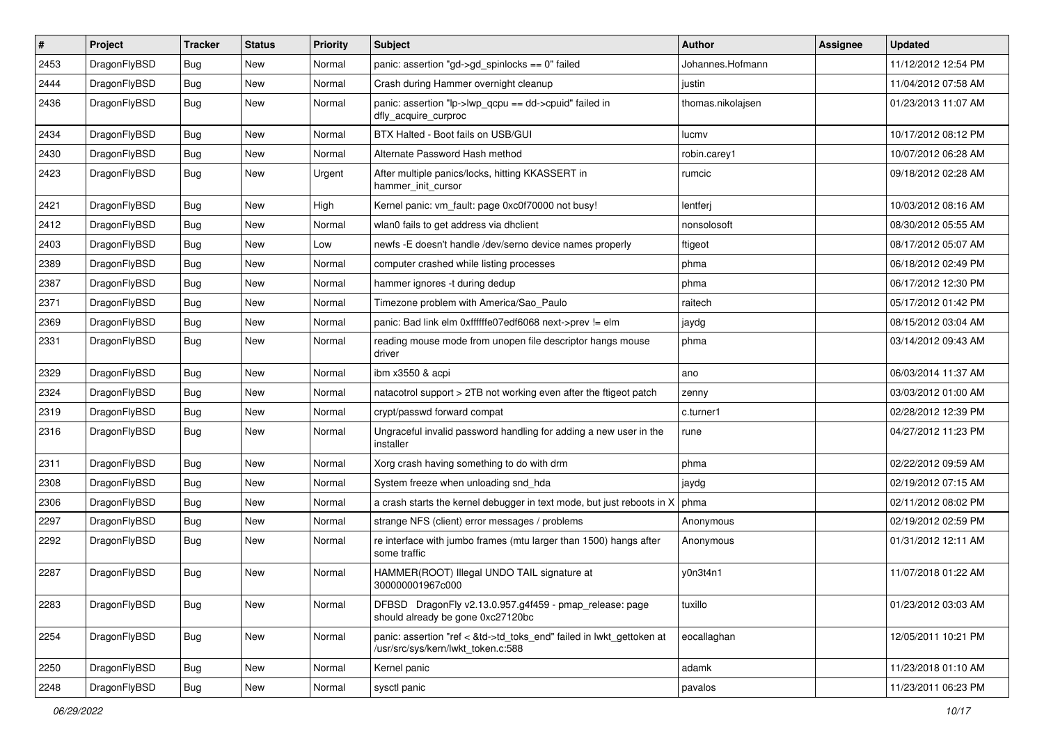| #    | Project      | <b>Tracker</b> | <b>Status</b> | <b>Priority</b> | Subject                                                                                                    | Author            | Assignee | <b>Updated</b>      |
|------|--------------|----------------|---------------|-----------------|------------------------------------------------------------------------------------------------------------|-------------------|----------|---------------------|
| 2453 | DragonFlyBSD | Bug            | <b>New</b>    | Normal          | panic: assertion "gd->gd_spinlocks == 0" failed                                                            | Johannes.Hofmann  |          | 11/12/2012 12:54 PM |
| 2444 | DragonFlyBSD | Bug            | <b>New</b>    | Normal          | Crash during Hammer overnight cleanup                                                                      | justin            |          | 11/04/2012 07:58 AM |
| 2436 | DragonFlyBSD | <b>Bug</b>     | New           | Normal          | panic: assertion "lp->lwp_qcpu == dd->cpuid" failed in<br>dfly_acquire_curproc                             | thomas.nikolajsen |          | 01/23/2013 11:07 AM |
| 2434 | DragonFlyBSD | Bug            | <b>New</b>    | Normal          | BTX Halted - Boot fails on USB/GUI                                                                         | lucmv             |          | 10/17/2012 08:12 PM |
| 2430 | DragonFlyBSD | Bug            | New           | Normal          | Alternate Password Hash method                                                                             | robin.carey1      |          | 10/07/2012 06:28 AM |
| 2423 | DragonFlyBSD | Bug            | New           | Urgent          | After multiple panics/locks, hitting KKASSERT in<br>hammer_init_cursor                                     | rumcic            |          | 09/18/2012 02:28 AM |
| 2421 | DragonFlyBSD | Bug            | New           | High            | Kernel panic: vm_fault: page 0xc0f70000 not busy!                                                          | lentferj          |          | 10/03/2012 08:16 AM |
| 2412 | DragonFlyBSD | Bug            | <b>New</b>    | Normal          | wlan0 fails to get address via dhclient                                                                    | nonsolosoft       |          | 08/30/2012 05:55 AM |
| 2403 | DragonFlyBSD | Bug            | <b>New</b>    | Low             | newfs -E doesn't handle /dev/serno device names properly                                                   | ftigeot           |          | 08/17/2012 05:07 AM |
| 2389 | DragonFlyBSD | Bug            | <b>New</b>    | Normal          | computer crashed while listing processes                                                                   | phma              |          | 06/18/2012 02:49 PM |
| 2387 | DragonFlyBSD | <b>Bug</b>     | New           | Normal          | hammer ignores -t during dedup                                                                             | phma              |          | 06/17/2012 12:30 PM |
| 2371 | DragonFlyBSD | Bug            | <b>New</b>    | Normal          | Timezone problem with America/Sao_Paulo                                                                    | raitech           |          | 05/17/2012 01:42 PM |
| 2369 | DragonFlyBSD | Bug            | <b>New</b>    | Normal          | panic: Bad link elm 0xffffffe07edf6068 next->prev != elm                                                   | jaydg             |          | 08/15/2012 03:04 AM |
| 2331 | DragonFlyBSD | Bug            | New           | Normal          | reading mouse mode from unopen file descriptor hangs mouse<br>driver                                       | phma              |          | 03/14/2012 09:43 AM |
| 2329 | DragonFlyBSD | Bug            | <b>New</b>    | Normal          | ibm x3550 & acpi                                                                                           | ano               |          | 06/03/2014 11:37 AM |
| 2324 | DragonFlyBSD | <b>Bug</b>     | New           | Normal          | natacotrol support > 2TB not working even after the ftigeot patch                                          | zenny             |          | 03/03/2012 01:00 AM |
| 2319 | DragonFlyBSD | Bug            | <b>New</b>    | Normal          | crypt/passwd forward compat                                                                                | c.turner1         |          | 02/28/2012 12:39 PM |
| 2316 | DragonFlyBSD | <b>Bug</b>     | New           | Normal          | Ungraceful invalid password handling for adding a new user in the<br>installer                             | rune              |          | 04/27/2012 11:23 PM |
| 2311 | DragonFlyBSD | Bug            | <b>New</b>    | Normal          | Xorg crash having something to do with drm                                                                 | phma              |          | 02/22/2012 09:59 AM |
| 2308 | DragonFlyBSD | <b>Bug</b>     | New           | Normal          | System freeze when unloading snd_hda                                                                       | jaydg             |          | 02/19/2012 07:15 AM |
| 2306 | DragonFlyBSD | Bug            | <b>New</b>    | Normal          | a crash starts the kernel debugger in text mode, but just reboots in X                                     | phma              |          | 02/11/2012 08:02 PM |
| 2297 | DragonFlyBSD | Bug            | New           | Normal          | strange NFS (client) error messages / problems                                                             | Anonymous         |          | 02/19/2012 02:59 PM |
| 2292 | DragonFlyBSD | Bug            | New           | Normal          | re interface with jumbo frames (mtu larger than 1500) hangs after<br>some traffic                          | Anonymous         |          | 01/31/2012 12:11 AM |
| 2287 | DragonFlyBSD | Bug            | <b>New</b>    | Normal          | HAMMER(ROOT) Illegal UNDO TAIL signature at<br>300000001967c000                                            | y0n3t4n1          |          | 11/07/2018 01:22 AM |
| 2283 | DragonFlyBSD | Bug            | New           | Normal          | DFBSD DragonFly v2.13.0.957.g4f459 - pmap_release: page<br>should already be gone 0xc27120bc               | tuxillo           |          | 01/23/2012 03:03 AM |
| 2254 | DragonFlyBSD | Bug            | New           | Normal          | panic: assertion "ref < &td->td_toks_end" failed in lwkt_gettoken at<br>/usr/src/sys/kern/lwkt_token.c:588 | eocallaghan       |          | 12/05/2011 10:21 PM |
| 2250 | DragonFlyBSD | Bug            | New           | Normal          | Kernel panic                                                                                               | adamk             |          | 11/23/2018 01:10 AM |
| 2248 | DragonFlyBSD | Bug            | New           | Normal          | sysctl panic                                                                                               | pavalos           |          | 11/23/2011 06:23 PM |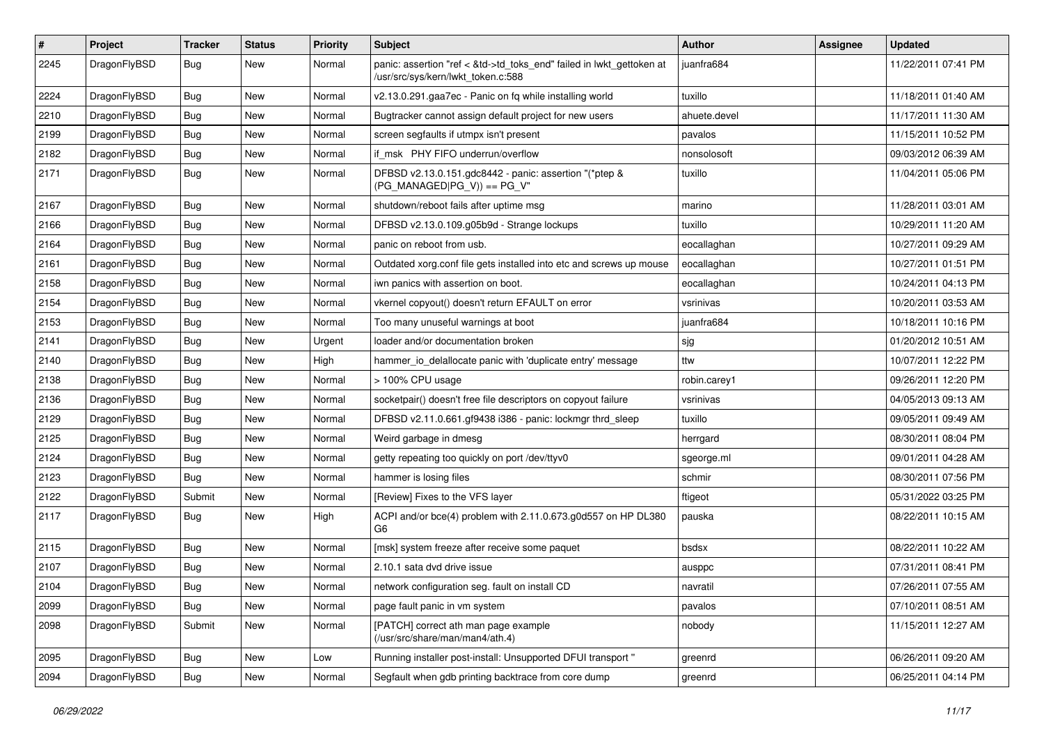| $\sharp$ | Project      | <b>Tracker</b> | <b>Status</b> | <b>Priority</b> | <b>Subject</b>                                                                                             | Author       | Assignee | <b>Updated</b>      |
|----------|--------------|----------------|---------------|-----------------|------------------------------------------------------------------------------------------------------------|--------------|----------|---------------------|
| 2245     | DragonFlyBSD | <b>Bug</b>     | New           | Normal          | panic: assertion "ref < &td->td_toks_end" failed in lwkt_gettoken at<br>/usr/src/sys/kern/lwkt_token.c:588 | juanfra684   |          | 11/22/2011 07:41 PM |
| 2224     | DragonFlyBSD | <b>Bug</b>     | New           | Normal          | v2.13.0.291.gaa7ec - Panic on fq while installing world                                                    | tuxillo      |          | 11/18/2011 01:40 AM |
| 2210     | DragonFlyBSD | Bug            | New           | Normal          | Bugtracker cannot assign default project for new users                                                     | ahuete.devel |          | 11/17/2011 11:30 AM |
| 2199     | DragonFlyBSD | <b>Bug</b>     | New           | Normal          | screen segfaults if utmpx isn't present                                                                    | pavalos      |          | 11/15/2011 10:52 PM |
| 2182     | DragonFlyBSD | Bug            | New           | Normal          | if msk PHY FIFO underrun/overflow                                                                          | nonsolosoft  |          | 09/03/2012 06:39 AM |
| 2171     | DragonFlyBSD | <b>Bug</b>     | New           | Normal          | DFBSD v2.13.0.151.gdc8442 - panic: assertion "(*ptep &<br>$(PG$ MANAGED PG V)) == PG V"                    | tuxillo      |          | 11/04/2011 05:06 PM |
| 2167     | DragonFlyBSD | Bug            | <b>New</b>    | Normal          | shutdown/reboot fails after uptime msg                                                                     | marino       |          | 11/28/2011 03:01 AM |
| 2166     | DragonFlyBSD | <b>Bug</b>     | New           | Normal          | DFBSD v2.13.0.109.g05b9d - Strange lockups                                                                 | tuxillo      |          | 10/29/2011 11:20 AM |
| 2164     | DragonFlyBSD | <b>Bug</b>     | <b>New</b>    | Normal          | panic on reboot from usb.                                                                                  | eocallaghan  |          | 10/27/2011 09:29 AM |
| 2161     | DragonFlyBSD | Bug            | New           | Normal          | Outdated xorg.conf file gets installed into etc and screws up mouse                                        | eocallaghan  |          | 10/27/2011 01:51 PM |
| 2158     | DragonFlyBSD | <b>Bug</b>     | New           | Normal          | iwn panics with assertion on boot.                                                                         | eocallaghan  |          | 10/24/2011 04:13 PM |
| 2154     | DragonFlyBSD | <b>Bug</b>     | New           | Normal          | vkernel copyout() doesn't return EFAULT on error                                                           | vsrinivas    |          | 10/20/2011 03:53 AM |
| 2153     | DragonFlyBSD | <b>Bug</b>     | New           | Normal          | Too many unuseful warnings at boot                                                                         | juanfra684   |          | 10/18/2011 10:16 PM |
| 2141     | DragonFlyBSD | Bug            | <b>New</b>    | Urgent          | loader and/or documentation broken                                                                         | sjg          |          | 01/20/2012 10:51 AM |
| 2140     | DragonFlyBSD | <b>Bug</b>     | New           | High            | hammer io delallocate panic with 'duplicate entry' message                                                 | ttw          |          | 10/07/2011 12:22 PM |
| 2138     | DragonFlyBSD | Bug            | <b>New</b>    | Normal          | > 100% CPU usage                                                                                           | robin.carey1 |          | 09/26/2011 12:20 PM |
| 2136     | DragonFlyBSD | <b>Bug</b>     | New           | Normal          | socketpair() doesn't free file descriptors on copyout failure                                              | vsrinivas    |          | 04/05/2013 09:13 AM |
| 2129     | DragonFlyBSD | <b>Bug</b>     | New           | Normal          | DFBSD v2.11.0.661.gf9438 i386 - panic: lockmgr thrd_sleep                                                  | tuxillo      |          | 09/05/2011 09:49 AM |
| 2125     | DragonFlyBSD | <b>Bug</b>     | New           | Normal          | Weird garbage in dmesg                                                                                     | herrgard     |          | 08/30/2011 08:04 PM |
| 2124     | DragonFlyBSD | <b>Bug</b>     | New           | Normal          | getty repeating too quickly on port /dev/ttyv0                                                             | sgeorge.ml   |          | 09/01/2011 04:28 AM |
| 2123     | DragonFlyBSD | Bug            | New           | Normal          | hammer is losing files                                                                                     | schmir       |          | 08/30/2011 07:56 PM |
| 2122     | DragonFlyBSD | Submit         | New           | Normal          | [Review] Fixes to the VFS layer                                                                            | ftigeot      |          | 05/31/2022 03:25 PM |
| 2117     | DragonFlyBSD | Bug            | New           | High            | ACPI and/or bce(4) problem with 2.11.0.673.g0d557 on HP DL380<br>G6                                        | pauska       |          | 08/22/2011 10:15 AM |
| 2115     | DragonFlyBSD | <b>Bug</b>     | <b>New</b>    | Normal          | [msk] system freeze after receive some paquet                                                              | bsdsx        |          | 08/22/2011 10:22 AM |
| 2107     | DragonFlyBSD | <b>Bug</b>     | New           | Normal          | 2.10.1 sata dvd drive issue                                                                                | ausppc       |          | 07/31/2011 08:41 PM |
| 2104     | DragonFlyBSD | Bug            | <b>New</b>    | Normal          | network configuration seg. fault on install CD                                                             | navratil     |          | 07/26/2011 07:55 AM |
| 2099     | DragonFlyBSD | <b>Bug</b>     | New           | Normal          | page fault panic in vm system                                                                              | pavalos      |          | 07/10/2011 08:51 AM |
| 2098     | DragonFlyBSD | Submit         | New           | Normal          | [PATCH] correct ath man page example<br>(/usr/src/share/man/man4/ath.4)                                    | nobody       |          | 11/15/2011 12:27 AM |
| 2095     | DragonFlyBSD | <b>Bug</b>     | New           | Low             | Running installer post-install: Unsupported DFUI transport "                                               | greenrd      |          | 06/26/2011 09:20 AM |
| 2094     | DragonFlyBSD | <b>Bug</b>     | New           | Normal          | Segfault when gdb printing backtrace from core dump                                                        | greenrd      |          | 06/25/2011 04:14 PM |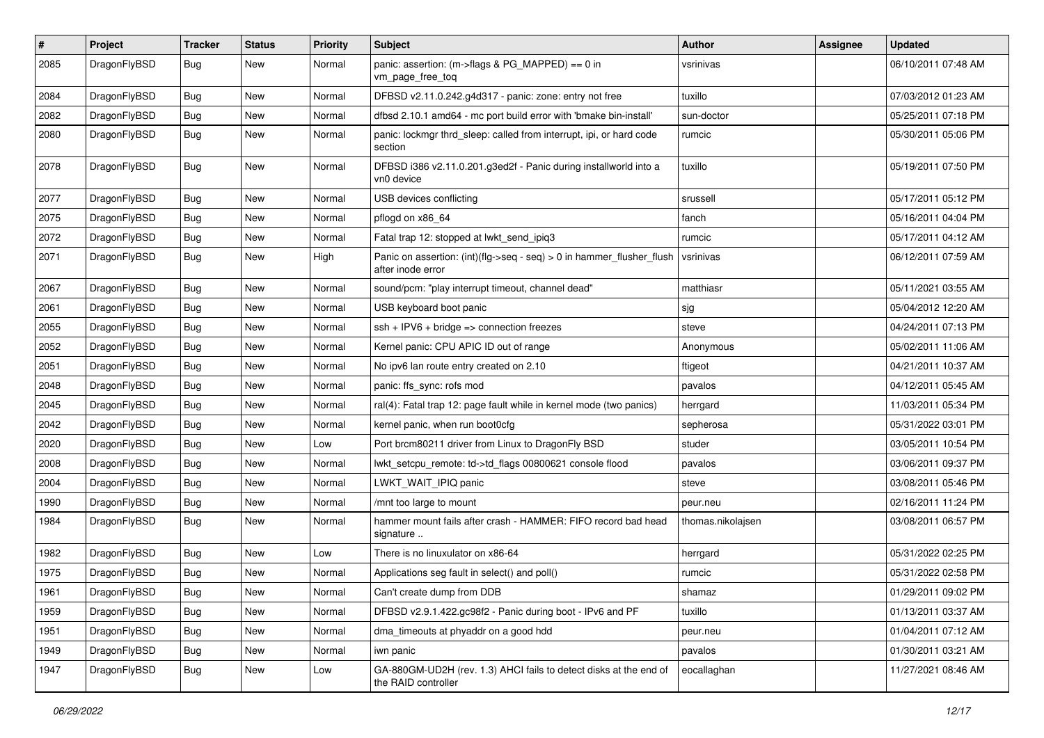| $\sharp$ | Project      | <b>Tracker</b> | <b>Status</b> | <b>Priority</b> | <b>Subject</b>                                                                             | Author            | <b>Assignee</b> | <b>Updated</b>      |
|----------|--------------|----------------|---------------|-----------------|--------------------------------------------------------------------------------------------|-------------------|-----------------|---------------------|
| 2085     | DragonFlyBSD | <b>Bug</b>     | New           | Normal          | panic: assertion: (m->flags & PG_MAPPED) == 0 in<br>vm_page_free_toq                       | vsrinivas         |                 | 06/10/2011 07:48 AM |
| 2084     | DragonFlyBSD | Bug            | <b>New</b>    | Normal          | DFBSD v2.11.0.242.g4d317 - panic: zone: entry not free                                     | tuxillo           |                 | 07/03/2012 01:23 AM |
| 2082     | DragonFlyBSD | <b>Bug</b>     | New           | Normal          | dfbsd 2.10.1 amd64 - mc port build error with 'bmake bin-install'                          | sun-doctor        |                 | 05/25/2011 07:18 PM |
| 2080     | DragonFlyBSD | <b>Bug</b>     | New           | Normal          | panic: lockmgr thrd_sleep: called from interrupt, ipi, or hard code<br>section             | rumcic            |                 | 05/30/2011 05:06 PM |
| 2078     | DragonFlyBSD | Bug            | New           | Normal          | DFBSD i386 v2.11.0.201.g3ed2f - Panic during installworld into a<br>vn0 device             | tuxillo           |                 | 05/19/2011 07:50 PM |
| 2077     | DragonFlyBSD | Bug            | New           | Normal          | USB devices conflicting                                                                    | srussell          |                 | 05/17/2011 05:12 PM |
| 2075     | DragonFlyBSD | Bug            | <b>New</b>    | Normal          | pflogd on x86_64                                                                           | fanch             |                 | 05/16/2011 04:04 PM |
| 2072     | DragonFlyBSD | <b>Bug</b>     | New           | Normal          | Fatal trap 12: stopped at lwkt send ipig3                                                  | rumcic            |                 | 05/17/2011 04:12 AM |
| 2071     | DragonFlyBSD | <b>Bug</b>     | <b>New</b>    | High            | Panic on assertion: (int)(flg->seq - seq) > 0 in hammer_flusher_flush<br>after inode error | vsrinivas         |                 | 06/12/2011 07:59 AM |
| 2067     | DragonFlyBSD | Bug            | <b>New</b>    | Normal          | sound/pcm: "play interrupt timeout, channel dead"                                          | matthiasr         |                 | 05/11/2021 03:55 AM |
| 2061     | DragonFlyBSD | <b>Bug</b>     | <b>New</b>    | Normal          | USB keyboard boot panic                                                                    | sjg               |                 | 05/04/2012 12:20 AM |
| 2055     | DragonFlyBSD | Bug            | <b>New</b>    | Normal          | $ssh + IPV6 + bridge \Rightarrow connection freezes$                                       | steve             |                 | 04/24/2011 07:13 PM |
| 2052     | DragonFlyBSD | <b>Bug</b>     | New           | Normal          | Kernel panic: CPU APIC ID out of range                                                     | Anonymous         |                 | 05/02/2011 11:06 AM |
| 2051     | DragonFlyBSD | Bug            | <b>New</b>    | Normal          | No ipv6 lan route entry created on 2.10                                                    | ftigeot           |                 | 04/21/2011 10:37 AM |
| 2048     | DragonFlyBSD | Bug            | New           | Normal          | panic: ffs sync: rofs mod                                                                  | pavalos           |                 | 04/12/2011 05:45 AM |
| 2045     | DragonFlyBSD | <b>Bug</b>     | New           | Normal          | ral(4): Fatal trap 12: page fault while in kernel mode (two panics)                        | herrgard          |                 | 11/03/2011 05:34 PM |
| 2042     | DragonFlyBSD | <b>Bug</b>     | <b>New</b>    | Normal          | kernel panic, when run boot0cfg                                                            | sepherosa         |                 | 05/31/2022 03:01 PM |
| 2020     | DragonFlyBSD | <b>Bug</b>     | New           | Low             | Port brcm80211 driver from Linux to DragonFly BSD                                          | studer            |                 | 03/05/2011 10:54 PM |
| 2008     | DragonFlyBSD | Bug            | New           | Normal          | lwkt_setcpu_remote: td->td_flags 00800621 console flood                                    | pavalos           |                 | 03/06/2011 09:37 PM |
| 2004     | DragonFlyBSD | <b>Bug</b>     | New           | Normal          | LWKT WAIT IPIQ panic                                                                       | steve             |                 | 03/08/2011 05:46 PM |
| 1990     | DragonFlyBSD | <b>Bug</b>     | New           | Normal          | /mnt too large to mount                                                                    | peur.neu          |                 | 02/16/2011 11:24 PM |
| 1984     | DragonFlyBSD | Bug            | New           | Normal          | hammer mount fails after crash - HAMMER: FIFO record bad head<br>signature                 | thomas.nikolajsen |                 | 03/08/2011 06:57 PM |
| 1982     | DragonFlyBSD | <b>Bug</b>     | New           | Low             | There is no linuxulator on x86-64                                                          | herrgard          |                 | 05/31/2022 02:25 PM |
| 1975     | DragonFlyBSD | Bug            | New           | Normal          | Applications seg fault in select() and poll()                                              | rumcic            |                 | 05/31/2022 02:58 PM |
| 1961     | DragonFlyBSD | <b>Bug</b>     | New           | Normal          | Can't create dump from DDB                                                                 | shamaz            |                 | 01/29/2011 09:02 PM |
| 1959     | DragonFlyBSD | <b>Bug</b>     | New           | Normal          | DFBSD v2.9.1.422.gc98f2 - Panic during boot - IPv6 and PF                                  | tuxillo           |                 | 01/13/2011 03:37 AM |
| 1951     | DragonFlyBSD | <b>Bug</b>     | New           | Normal          | dma_timeouts at phyaddr on a good hdd                                                      | peur.neu          |                 | 01/04/2011 07:12 AM |
| 1949     | DragonFlyBSD | <b>Bug</b>     | <b>New</b>    | Normal          | iwn panic                                                                                  | pavalos           |                 | 01/30/2011 03:21 AM |
| 1947     | DragonFlyBSD | <b>Bug</b>     | New           | Low             | GA-880GM-UD2H (rev. 1.3) AHCI fails to detect disks at the end of<br>the RAID controller   | eocallaghan       |                 | 11/27/2021 08:46 AM |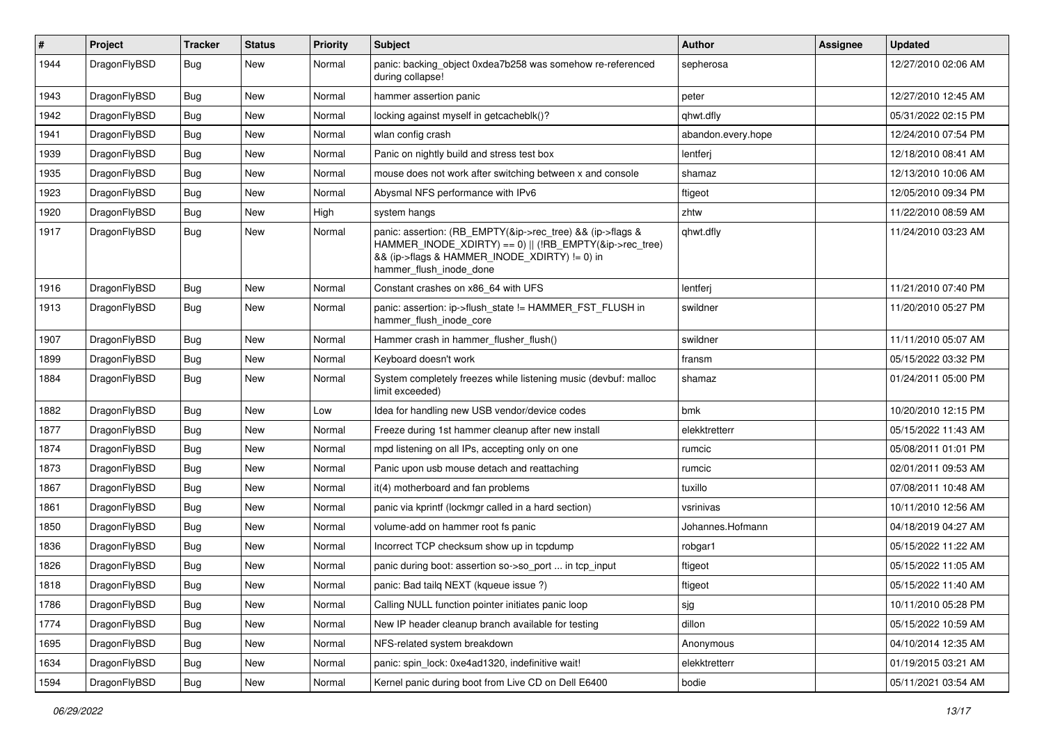| #    | Project      | <b>Tracker</b> | <b>Status</b> | <b>Priority</b> | <b>Subject</b>                                                                                                                                                                                    | Author             | Assignee | <b>Updated</b>      |
|------|--------------|----------------|---------------|-----------------|---------------------------------------------------------------------------------------------------------------------------------------------------------------------------------------------------|--------------------|----------|---------------------|
| 1944 | DragonFlyBSD | <b>Bug</b>     | New           | Normal          | panic: backing object 0xdea7b258 was somehow re-referenced<br>during collapse!                                                                                                                    | sepherosa          |          | 12/27/2010 02:06 AM |
| 1943 | DragonFlyBSD | <b>Bug</b>     | New           | Normal          | hammer assertion panic                                                                                                                                                                            | peter              |          | 12/27/2010 12:45 AM |
| 1942 | DragonFlyBSD | Bug            | New           | Normal          | locking against myself in getcacheblk()?                                                                                                                                                          | qhwt.dfly          |          | 05/31/2022 02:15 PM |
| 1941 | DragonFlyBSD | <b>Bug</b>     | New           | Normal          | wlan config crash                                                                                                                                                                                 | abandon.every.hope |          | 12/24/2010 07:54 PM |
| 1939 | DragonFlyBSD | <b>Bug</b>     | New           | Normal          | Panic on nightly build and stress test box                                                                                                                                                        | lentferj           |          | 12/18/2010 08:41 AM |
| 1935 | DragonFlyBSD | <b>Bug</b>     | New           | Normal          | mouse does not work after switching between x and console                                                                                                                                         | shamaz             |          | 12/13/2010 10:06 AM |
| 1923 | DragonFlyBSD | Bug            | New           | Normal          | Abysmal NFS performance with IPv6                                                                                                                                                                 | ftigeot            |          | 12/05/2010 09:34 PM |
| 1920 | DragonFlyBSD | Bug            | New           | High            | system hangs                                                                                                                                                                                      | zhtw               |          | 11/22/2010 08:59 AM |
| 1917 | DragonFlyBSD | <b>Bug</b>     | New           | Normal          | panic: assertion: (RB_EMPTY(&ip->rec_tree) && (ip->flags &<br>HAMMER_INODE_XDIRTY) == 0)    (!RB_EMPTY(&ip->rec_tree)<br>&& (ip->flags & HAMMER_INODE_XDIRTY) != 0) in<br>hammer_flush_inode_done | qhwt.dfly          |          | 11/24/2010 03:23 AM |
| 1916 | DragonFlyBSD | <b>Bug</b>     | New           | Normal          | Constant crashes on x86_64 with UFS                                                                                                                                                               | lentferj           |          | 11/21/2010 07:40 PM |
| 1913 | DragonFlyBSD | <b>Bug</b>     | New           | Normal          | panic: assertion: ip->flush_state != HAMMER_FST_FLUSH in<br>hammer_flush_inode_core                                                                                                               | swildner           |          | 11/20/2010 05:27 PM |
| 1907 | DragonFlyBSD | <b>Bug</b>     | <b>New</b>    | Normal          | Hammer crash in hammer flusher flush()                                                                                                                                                            | swildner           |          | 11/11/2010 05:07 AM |
| 1899 | DragonFlyBSD | <b>Bug</b>     | New           | Normal          | Keyboard doesn't work                                                                                                                                                                             | fransm             |          | 05/15/2022 03:32 PM |
| 1884 | DragonFlyBSD | <b>Bug</b>     | New           | Normal          | System completely freezes while listening music (devbuf: malloc<br>limit exceeded)                                                                                                                | shamaz             |          | 01/24/2011 05:00 PM |
| 1882 | DragonFlyBSD | <b>Bug</b>     | New           | Low             | Idea for handling new USB vendor/device codes                                                                                                                                                     | bmk                |          | 10/20/2010 12:15 PM |
| 1877 | DragonFlyBSD | Bug            | New           | Normal          | Freeze during 1st hammer cleanup after new install                                                                                                                                                | elekktretterr      |          | 05/15/2022 11:43 AM |
| 1874 | DragonFlyBSD | <b>Bug</b>     | New           | Normal          | mpd listening on all IPs, accepting only on one                                                                                                                                                   | rumcic             |          | 05/08/2011 01:01 PM |
| 1873 | DragonFlyBSD | Bug            | New           | Normal          | Panic upon usb mouse detach and reattaching                                                                                                                                                       | rumcic             |          | 02/01/2011 09:53 AM |
| 1867 | DragonFlyBSD | Bug            | New           | Normal          | it(4) motherboard and fan problems                                                                                                                                                                | tuxillo            |          | 07/08/2011 10:48 AM |
| 1861 | DragonFlyBSD | <b>Bug</b>     | New           | Normal          | panic via kprintf (lockmgr called in a hard section)                                                                                                                                              | vsrinivas          |          | 10/11/2010 12:56 AM |
| 1850 | DragonFlyBSD | <b>Bug</b>     | New           | Normal          | volume-add on hammer root fs panic                                                                                                                                                                | Johannes.Hofmann   |          | 04/18/2019 04:27 AM |
| 1836 | DragonFlyBSD | Bug            | New           | Normal          | Incorrect TCP checksum show up in tcpdump                                                                                                                                                         | robgar1            |          | 05/15/2022 11:22 AM |
| 1826 | DragonFlyBSD | Bug            | New           | Normal          | panic during boot: assertion so->so_port  in tcp_input                                                                                                                                            | ftigeot            |          | 05/15/2022 11:05 AM |
| 1818 | DragonFlyBSD | <b>Bug</b>     | New           | Normal          | panic: Bad tailg NEXT (kqueue issue ?)                                                                                                                                                            | ftigeot            |          | 05/15/2022 11:40 AM |
| 1786 | DragonFlyBSD | <b>Bug</b>     | New           | Normal          | Calling NULL function pointer initiates panic loop                                                                                                                                                | sjg                |          | 10/11/2010 05:28 PM |
| 1774 | DragonFlyBSD | <b>Bug</b>     | New           | Normal          | New IP header cleanup branch available for testing                                                                                                                                                | dillon             |          | 05/15/2022 10:59 AM |
| 1695 | DragonFlyBSD | Bug            | New           | Normal          | NFS-related system breakdown                                                                                                                                                                      | Anonymous          |          | 04/10/2014 12:35 AM |
| 1634 | DragonFlyBSD | <b>Bug</b>     | New           | Normal          | panic: spin lock: 0xe4ad1320, indefinitive wait!                                                                                                                                                  | elekktretterr      |          | 01/19/2015 03:21 AM |
| 1594 | DragonFlyBSD | Bug            | New           | Normal          | Kernel panic during boot from Live CD on Dell E6400                                                                                                                                               | bodie              |          | 05/11/2021 03:54 AM |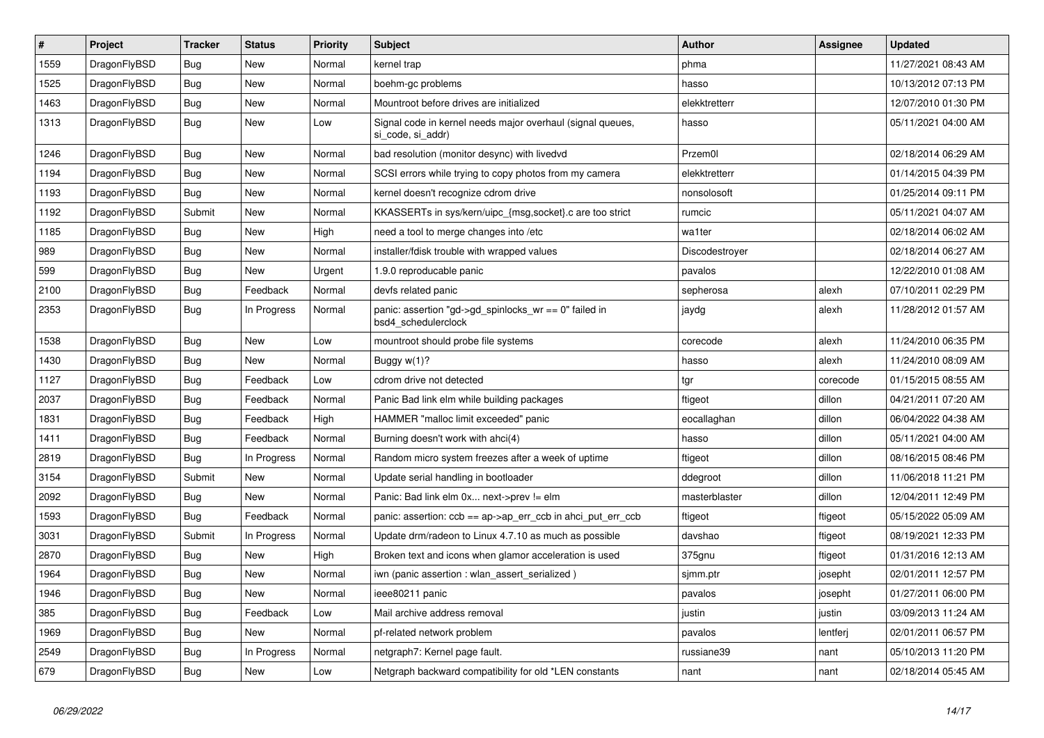| $\vert$ # | Project      | <b>Tracker</b> | <b>Status</b> | <b>Priority</b> | <b>Subject</b>                                                                  | <b>Author</b>  | Assignee | Updated             |
|-----------|--------------|----------------|---------------|-----------------|---------------------------------------------------------------------------------|----------------|----------|---------------------|
| 1559      | DragonFlyBSD | Bug            | <b>New</b>    | Normal          | kernel trap                                                                     | phma           |          | 11/27/2021 08:43 AM |
| 1525      | DragonFlyBSD | Bug            | <b>New</b>    | Normal          | boehm-gc problems                                                               | hasso          |          | 10/13/2012 07:13 PM |
| 1463      | DragonFlyBSD | <b>Bug</b>     | <b>New</b>    | Normal          | Mountroot before drives are initialized                                         | elekktretterr  |          | 12/07/2010 01:30 PM |
| 1313      | DragonFlyBSD | <b>Bug</b>     | New           | Low             | Signal code in kernel needs major overhaul (signal queues,<br>si code, si addr) | hasso          |          | 05/11/2021 04:00 AM |
| 1246      | DragonFlyBSD | <b>Bug</b>     | <b>New</b>    | Normal          | bad resolution (monitor desync) with livedvd                                    | Przem0l        |          | 02/18/2014 06:29 AM |
| 1194      | DragonFlyBSD | Bug            | <b>New</b>    | Normal          | SCSI errors while trying to copy photos from my camera                          | elekktretterr  |          | 01/14/2015 04:39 PM |
| 1193      | DragonFlyBSD | Bug            | <b>New</b>    | Normal          | kernel doesn't recognize cdrom drive                                            | nonsolosoft    |          | 01/25/2014 09:11 PM |
| 1192      | DragonFlyBSD | Submit         | <b>New</b>    | Normal          | KKASSERTs in sys/kern/uipc {msg,socket}.c are too strict                        | rumcic         |          | 05/11/2021 04:07 AM |
| 1185      | DragonFlyBSD | Bug            | <b>New</b>    | High            | need a tool to merge changes into /etc                                          | wa1ter         |          | 02/18/2014 06:02 AM |
| 989       | DragonFlyBSD | Bug            | New           | Normal          | installer/fdisk trouble with wrapped values                                     | Discodestroyer |          | 02/18/2014 06:27 AM |
| 599       | DragonFlyBSD | <b>Bug</b>     | New           | Urgent          | 1.9.0 reproducable panic                                                        | pavalos        |          | 12/22/2010 01:08 AM |
| 2100      | DragonFlyBSD | <b>Bug</b>     | Feedback      | Normal          | devfs related panic                                                             | sepherosa      | alexh    | 07/10/2011 02:29 PM |
| 2353      | DragonFlyBSD | <b>Bug</b>     | In Progress   | Normal          | panic: assertion "gd->gd_spinlocks_wr == 0" failed in<br>bsd4 schedulerclock    | jaydg          | alexh    | 11/28/2012 01:57 AM |
| 1538      | DragonFlyBSD | <b>Bug</b>     | New           | Low             | mountroot should probe file systems                                             | corecode       | alexh    | 11/24/2010 06:35 PM |
| 1430      | DragonFlyBSD | Bug            | New           | Normal          | Buggy w(1)?                                                                     | hasso          | alexh    | 11/24/2010 08:09 AM |
| 1127      | DragonFlyBSD | Bug            | Feedback      | Low             | cdrom drive not detected                                                        | tgr            | corecode | 01/15/2015 08:55 AM |
| 2037      | DragonFlyBSD | <b>Bug</b>     | Feedback      | Normal          | Panic Bad link elm while building packages                                      | ftigeot        | dillon   | 04/21/2011 07:20 AM |
| 1831      | DragonFlyBSD | <b>Bug</b>     | Feedback      | High            | HAMMER "malloc limit exceeded" panic                                            | eocallaghan    | dillon   | 06/04/2022 04:38 AM |
| 1411      | DragonFlyBSD | <b>Bug</b>     | Feedback      | Normal          | Burning doesn't work with ahci(4)                                               | hasso          | dillon   | 05/11/2021 04:00 AM |
| 2819      | DragonFlyBSD | <b>Bug</b>     | In Progress   | Normal          | Random micro system freezes after a week of uptime                              | ftigeot        | dillon   | 08/16/2015 08:46 PM |
| 3154      | DragonFlyBSD | Submit         | New           | Normal          | Update serial handling in bootloader                                            | ddegroot       | dillon   | 11/06/2018 11:21 PM |
| 2092      | DragonFlyBSD | <b>Bug</b>     | <b>New</b>    | Normal          | Panic: Bad link elm 0x next->prev != elm                                        | masterblaster  | dillon   | 12/04/2011 12:49 PM |
| 1593      | DragonFlyBSD | Bug            | Feedback      | Normal          | panic: assertion: $ccb == ap \rightarrow ap\_err\_ccb$ in ahci_put_err_ccb      | ftigeot        | ftigeot  | 05/15/2022 05:09 AM |
| 3031      | DragonFlyBSD | Submit         | In Progress   | Normal          | Update drm/radeon to Linux 4.7.10 as much as possible                           | davshao        | ftigeot  | 08/19/2021 12:33 PM |
| 2870      | DragonFlyBSD | <b>Bug</b>     | New           | High            | Broken text and icons when glamor acceleration is used                          | 375gnu         | ftigeot  | 01/31/2016 12:13 AM |
| 1964      | DragonFlyBSD | Bug            | <b>New</b>    | Normal          | iwn (panic assertion : wlan assert serialized)                                  | sjmm.ptr       | josepht  | 02/01/2011 12:57 PM |
| 1946      | DragonFlyBSD | <b>Bug</b>     | <b>New</b>    | Normal          | ieee80211 panic                                                                 | pavalos        | josepht  | 01/27/2011 06:00 PM |
| 385       | DragonFlyBSD | <b>Bug</b>     | Feedback      | Low             | Mail archive address removal                                                    | justin         | justin   | 03/09/2013 11:24 AM |
| 1969      | DragonFlyBSD | <b>Bug</b>     | New           | Normal          | pf-related network problem                                                      | pavalos        | lentferj | 02/01/2011 06:57 PM |
| 2549      | DragonFlyBSD | <b>Bug</b>     | In Progress   | Normal          | netgraph7: Kernel page fault.                                                   | russiane39     | nant     | 05/10/2013 11:20 PM |
| 679       | DragonFlyBSD | Bug            | <b>New</b>    | Low             | Netgraph backward compatibility for old *LEN constants                          | nant           | nant     | 02/18/2014 05:45 AM |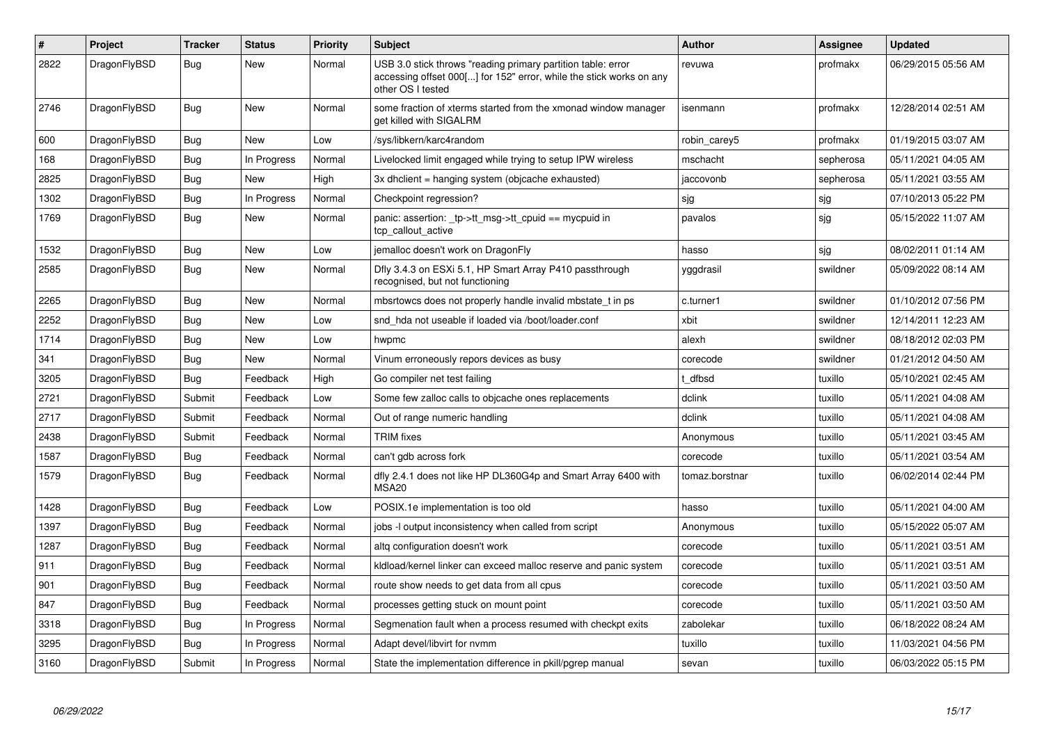| $\sharp$ | Project      | <b>Tracker</b> | <b>Status</b> | <b>Priority</b> | <b>Subject</b>                                                                                                                                           | <b>Author</b>  | Assignee  | <b>Updated</b>      |
|----------|--------------|----------------|---------------|-----------------|----------------------------------------------------------------------------------------------------------------------------------------------------------|----------------|-----------|---------------------|
| 2822     | DragonFlyBSD | <b>Bug</b>     | <b>New</b>    | Normal          | USB 3.0 stick throws "reading primary partition table: error<br>accessing offset 000[] for 152" error, while the stick works on any<br>other OS I tested | revuwa         | profmakx  | 06/29/2015 05:56 AM |
| 2746     | DragonFlyBSD | Bug            | New           | Normal          | some fraction of xterms started from the xmonad window manager<br>get killed with SIGALRM                                                                | isenmann       | profmakx  | 12/28/2014 02:51 AM |
| 600      | DragonFlyBSD | <b>Bug</b>     | <b>New</b>    | Low             | /sys/libkern/karc4random                                                                                                                                 | robin carey5   | profmakx  | 01/19/2015 03:07 AM |
| 168      | DragonFlyBSD | Bug            | In Progress   | Normal          | Livelocked limit engaged while trying to setup IPW wireless                                                                                              | mschacht       | sepherosa | 05/11/2021 04:05 AM |
| 2825     | DragonFlyBSD | <b>Bug</b>     | <b>New</b>    | High            | 3x dhclient = hanging system (objcache exhausted)                                                                                                        | jaccovonb      | sepherosa | 05/11/2021 03:55 AM |
| 1302     | DragonFlyBSD | Bug            | In Progress   | Normal          | Checkpoint regression?                                                                                                                                   | sjg            | sjg       | 07/10/2013 05:22 PM |
| 1769     | DragonFlyBSD | <b>Bug</b>     | <b>New</b>    | Normal          | panic: assertion: _tp->tt_msg->tt_cpuid == mycpuid in<br>tcp callout active                                                                              | pavalos        | sjg       | 05/15/2022 11:07 AM |
| 1532     | DragonFlyBSD | <b>Bug</b>     | <b>New</b>    | Low             | jemalloc doesn't work on DragonFly                                                                                                                       | hasso          | sjg       | 08/02/2011 01:14 AM |
| 2585     | DragonFlyBSD | Bug            | New           | Normal          | Dfly 3.4.3 on ESXi 5.1, HP Smart Array P410 passthrough<br>recognised, but not functioning                                                               | yggdrasil      | swildner  | 05/09/2022 08:14 AM |
| 2265     | DragonFlyBSD | Bug            | <b>New</b>    | Normal          | mbsrtowcs does not properly handle invalid mbstate t in ps                                                                                               | c.turner1      | swildner  | 01/10/2012 07:56 PM |
| 2252     | DragonFlyBSD | Bug            | <b>New</b>    | Low             | snd hda not useable if loaded via /boot/loader.conf                                                                                                      | xbit           | swildner  | 12/14/2011 12:23 AM |
| 1714     | DragonFlyBSD | Bug            | New           | Low             | hwpmc                                                                                                                                                    | alexh          | swildner  | 08/18/2012 02:03 PM |
| 341      | DragonFlyBSD | <b>Bug</b>     | <b>New</b>    | Normal          | Vinum erroneously repors devices as busy                                                                                                                 | corecode       | swildner  | 01/21/2012 04:50 AM |
| 3205     | DragonFlyBSD | Bug            | Feedback      | High            | Go compiler net test failing                                                                                                                             | t dfbsd        | tuxillo   | 05/10/2021 02:45 AM |
| 2721     | DragonFlyBSD | Submit         | Feedback      | Low             | Some few zalloc calls to objcache ones replacements                                                                                                      | dclink         | tuxillo   | 05/11/2021 04:08 AM |
| 2717     | DragonFlyBSD | Submit         | Feedback      | Normal          | Out of range numeric handling                                                                                                                            | dclink         | tuxillo   | 05/11/2021 04:08 AM |
| 2438     | DragonFlyBSD | Submit         | Feedback      | Normal          | <b>TRIM</b> fixes                                                                                                                                        | Anonymous      | tuxillo   | 05/11/2021 03:45 AM |
| 1587     | DragonFlyBSD | Bug            | Feedback      | Normal          | can't gdb across fork                                                                                                                                    | corecode       | tuxillo   | 05/11/2021 03:54 AM |
| 1579     | DragonFlyBSD | <b>Bug</b>     | Feedback      | Normal          | dfly 2.4.1 does not like HP DL360G4p and Smart Array 6400 with<br>MSA <sub>20</sub>                                                                      | tomaz.borstnar | tuxillo   | 06/02/2014 02:44 PM |
| 1428     | DragonFlyBSD | Bug            | Feedback      | Low             | POSIX.1e implementation is too old                                                                                                                       | hasso          | tuxillo   | 05/11/2021 04:00 AM |
| 1397     | DragonFlyBSD | <b>Bug</b>     | Feedback      | Normal          | jobs -I output inconsistency when called from script                                                                                                     | Anonymous      | tuxillo   | 05/15/2022 05:07 AM |
| 1287     | DragonFlyBSD | <b>Bug</b>     | Feedback      | Normal          | altg configuration doesn't work                                                                                                                          | corecode       | tuxillo   | 05/11/2021 03:51 AM |
| 911      | DragonFlyBSD | Bug            | Feedback      | Normal          | kldload/kernel linker can exceed malloc reserve and panic system                                                                                         | corecode       | tuxillo   | 05/11/2021 03:51 AM |
| 901      | DragonFlyBSD | Bug            | Feedback      | Normal          | route show needs to get data from all cpus                                                                                                               | corecode       | tuxillo   | 05/11/2021 03:50 AM |
| 847      | DragonFlyBSD | Bug            | Feedback      | Normal          | processes getting stuck on mount point                                                                                                                   | corecode       | tuxillo   | 05/11/2021 03:50 AM |
| 3318     | DragonFlyBSD | Bug            | In Progress   | Normal          | Segmenation fault when a process resumed with checkpt exits                                                                                              | zabolekar      | tuxillo   | 06/18/2022 08:24 AM |
| 3295     | DragonFlyBSD | Bug            | In Progress   | Normal          | Adapt devel/libvirt for nvmm                                                                                                                             | tuxillo        | tuxillo   | 11/03/2021 04:56 PM |
| 3160     | DragonFlyBSD | Submit         | In Progress   | Normal          | State the implementation difference in pkill/pgrep manual                                                                                                | sevan          | tuxillo   | 06/03/2022 05:15 PM |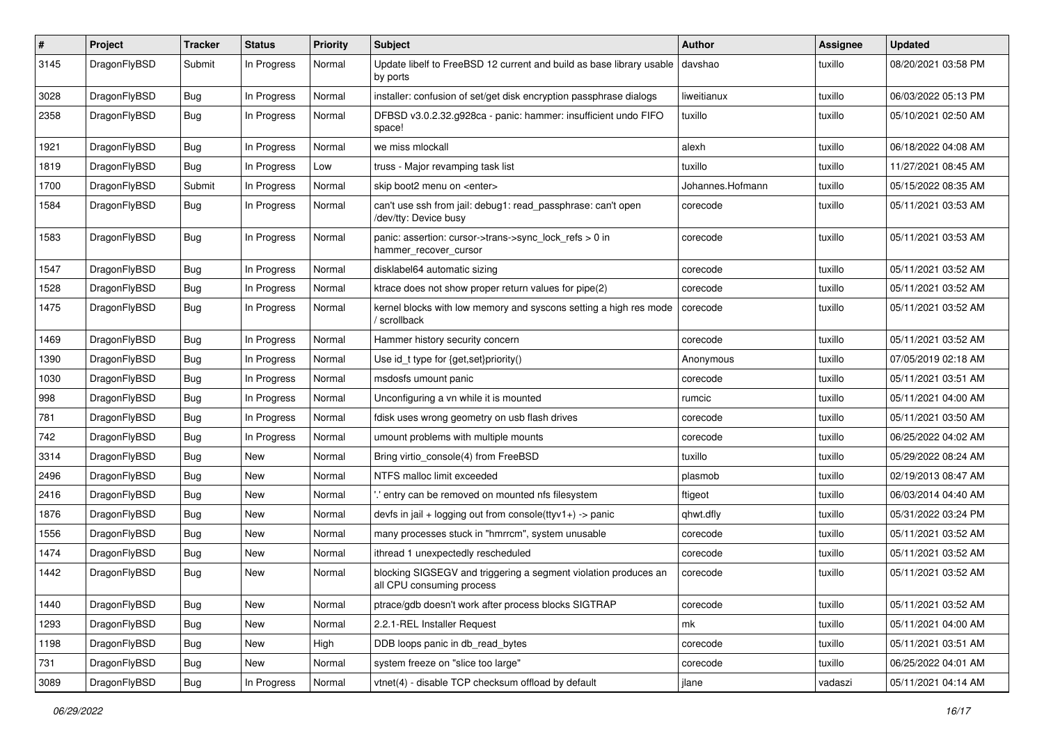| $\sharp$ | Project      | <b>Tracker</b> | <b>Status</b> | <b>Priority</b> | Subject                                                                                      | <b>Author</b>    | Assignee | <b>Updated</b>      |
|----------|--------------|----------------|---------------|-----------------|----------------------------------------------------------------------------------------------|------------------|----------|---------------------|
| 3145     | DragonFlyBSD | Submit         | In Progress   | Normal          | Update libelf to FreeBSD 12 current and build as base library usable<br>by ports             | davshao          | tuxillo  | 08/20/2021 03:58 PM |
| 3028     | DragonFlyBSD | Bug            | In Progress   | Normal          | installer: confusion of set/get disk encryption passphrase dialogs                           | liweitianux      | tuxillo  | 06/03/2022 05:13 PM |
| 2358     | DragonFlyBSD | <b>Bug</b>     | In Progress   | Normal          | DFBSD v3.0.2.32.g928ca - panic: hammer: insufficient undo FIFO<br>space!                     | tuxillo          | tuxillo  | 05/10/2021 02:50 AM |
| 1921     | DragonFlyBSD | <b>Bug</b>     | In Progress   | Normal          | we miss mlockall                                                                             | alexh            | tuxillo  | 06/18/2022 04:08 AM |
| 1819     | DragonFlyBSD | Bug            | In Progress   | Low             | truss - Major revamping task list                                                            | tuxillo          | tuxillo  | 11/27/2021 08:45 AM |
| 1700     | DragonFlyBSD | Submit         | In Progress   | Normal          | skip boot2 menu on <enter></enter>                                                           | Johannes.Hofmann | tuxillo  | 05/15/2022 08:35 AM |
| 1584     | DragonFlyBSD | Bug            | In Progress   | Normal          | can't use ssh from jail: debug1: read_passphrase: can't open<br>/dev/tty: Device busy        | corecode         | tuxillo  | 05/11/2021 03:53 AM |
| 1583     | DragonFlyBSD | Bug            | In Progress   | Normal          | panic: assertion: cursor->trans->sync_lock_refs > 0 in<br>hammer_recover_cursor              | corecode         | tuxillo  | 05/11/2021 03:53 AM |
| 1547     | DragonFlyBSD | <b>Bug</b>     | In Progress   | Normal          | disklabel64 automatic sizing                                                                 | corecode         | tuxillo  | 05/11/2021 03:52 AM |
| 1528     | DragonFlyBSD | <b>Bug</b>     | In Progress   | Normal          | ktrace does not show proper return values for pipe(2)                                        | corecode         | tuxillo  | 05/11/2021 03:52 AM |
| 1475     | DragonFlyBSD | Bug            | In Progress   | Normal          | kernel blocks with low memory and syscons setting a high res mode<br>scrollback              | corecode         | tuxillo  | 05/11/2021 03:52 AM |
| 1469     | DragonFlyBSD | Bug            | In Progress   | Normal          | Hammer history security concern                                                              | corecode         | tuxillo  | 05/11/2021 03:52 AM |
| 1390     | DragonFlyBSD | <b>Bug</b>     | In Progress   | Normal          | Use id_t type for {get,set}priority()                                                        | Anonymous        | tuxillo  | 07/05/2019 02:18 AM |
| 1030     | DragonFlyBSD | <b>Bug</b>     | In Progress   | Normal          | msdosfs umount panic                                                                         | corecode         | tuxillo  | 05/11/2021 03:51 AM |
| 998      | DragonFlyBSD | <b>Bug</b>     | In Progress   | Normal          | Unconfiguring a vn while it is mounted                                                       | rumcic           | tuxillo  | 05/11/2021 04:00 AM |
| 781      | DragonFlyBSD | Bug            | In Progress   | Normal          | fdisk uses wrong geometry on usb flash drives                                                | corecode         | tuxillo  | 05/11/2021 03:50 AM |
| 742      | DragonFlyBSD | <b>Bug</b>     | In Progress   | Normal          | umount problems with multiple mounts                                                         | corecode         | tuxillo  | 06/25/2022 04:02 AM |
| 3314     | DragonFlyBSD | <b>Bug</b>     | <b>New</b>    | Normal          | Bring virtio_console(4) from FreeBSD                                                         | tuxillo          | tuxillo  | 05/29/2022 08:24 AM |
| 2496     | DragonFlyBSD | <b>Bug</b>     | New           | Normal          | NTFS malloc limit exceeded                                                                   | plasmob          | tuxillo  | 02/19/2013 08:47 AM |
| 2416     | DragonFlyBSD | <b>Bug</b>     | <b>New</b>    | Normal          | 'entry can be removed on mounted nfs filesystem                                              | ftigeot          | tuxillo  | 06/03/2014 04:40 AM |
| 1876     | DragonFlyBSD | Bug            | <b>New</b>    | Normal          | devfs in jail + logging out from console(ttyv1+) -> panic                                    | qhwt.dfly        | tuxillo  | 05/31/2022 03:24 PM |
| 1556     | DragonFlyBSD | Bug            | New           | Normal          | many processes stuck in "hmrrcm", system unusable                                            | corecode         | tuxillo  | 05/11/2021 03:52 AM |
| 1474     | DragonFlyBSD | <b>Bug</b>     | New           | Normal          | ithread 1 unexpectedly rescheduled                                                           | corecode         | tuxillo  | 05/11/2021 03:52 AM |
| 1442     | DragonFlyBSD | Bug            | <b>New</b>    | Normal          | blocking SIGSEGV and triggering a segment violation produces an<br>all CPU consuming process | corecode         | tuxillo  | 05/11/2021 03:52 AM |
| 1440     | DragonFlyBSD | Bug            | New           | Normal          | ptrace/gdb doesn't work after process blocks SIGTRAP                                         | corecode         | tuxillo  | 05/11/2021 03:52 AM |
| 1293     | DragonFlyBSD | Bug            | New           | Normal          | 2.2.1-REL Installer Request                                                                  | mk               | tuxillo  | 05/11/2021 04:00 AM |
| 1198     | DragonFlyBSD | <b>Bug</b>     | New           | High            | DDB loops panic in db_read_bytes                                                             | corecode         | tuxillo  | 05/11/2021 03:51 AM |
| 731      | DragonFlyBSD | <b>Bug</b>     | New           | Normal          | system freeze on "slice too large"                                                           | corecode         | tuxillo  | 06/25/2022 04:01 AM |
| 3089     | DragonFlyBSD | <b>Bug</b>     | In Progress   | Normal          | vtnet(4) - disable TCP checksum offload by default                                           | jlane            | vadaszi  | 05/11/2021 04:14 AM |